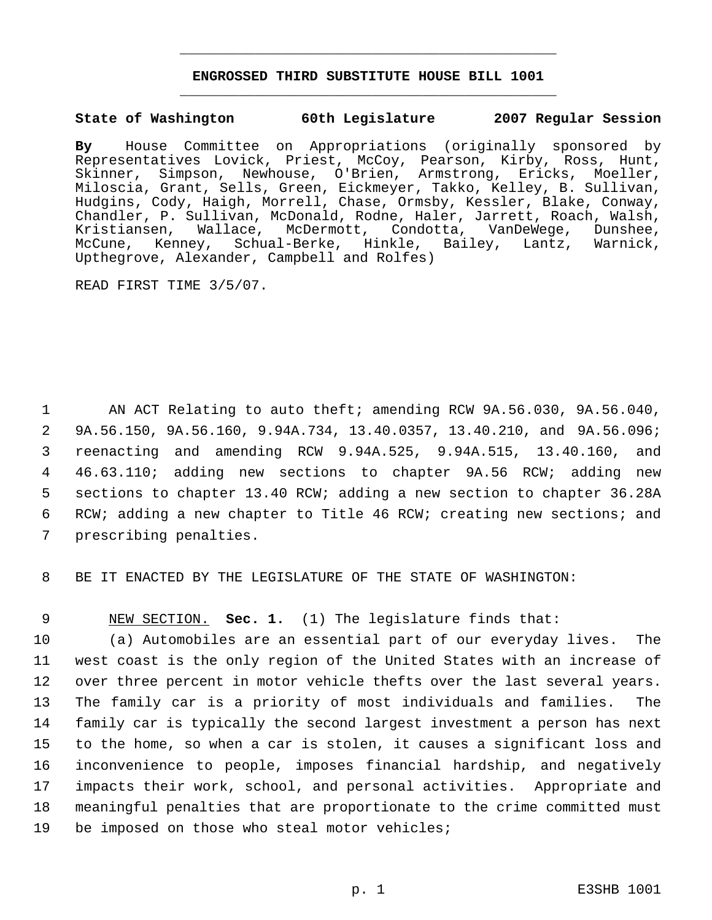## **ENGROSSED THIRD SUBSTITUTE HOUSE BILL 1001** \_\_\_\_\_\_\_\_\_\_\_\_\_\_\_\_\_\_\_\_\_\_\_\_\_\_\_\_\_\_\_\_\_\_\_\_\_\_\_\_\_\_\_\_\_

\_\_\_\_\_\_\_\_\_\_\_\_\_\_\_\_\_\_\_\_\_\_\_\_\_\_\_\_\_\_\_\_\_\_\_\_\_\_\_\_\_\_\_\_\_

#### **State of Washington 60th Legislature 2007 Regular Session**

**By** House Committee on Appropriations (originally sponsored by Representatives Lovick, Priest, McCoy, Pearson, Kirby, Ross, Hunt, Skinner, Simpson, Newhouse, O'Brien, Armstrong, Ericks, Moeller, Miloscia, Grant, Sells, Green, Eickmeyer, Takko, Kelley, B. Sullivan, Hudgins, Cody, Haigh, Morrell, Chase, Ormsby, Kessler, Blake, Conway, Chandler, P. Sullivan, McDonald, Rodne, Haler, Jarrett, Roach, Walsh, Kristiansen, Wallace, McDermott, Condotta, VanDeWege, Dunshee, McCune, Kenney, Schual-Berke, Hinkle, Bailey, Lantz, Warnick, Upthegrove, Alexander, Campbell and Rolfes)

READ FIRST TIME 3/5/07.

 AN ACT Relating to auto theft; amending RCW 9A.56.030, 9A.56.040, 9A.56.150, 9A.56.160, 9.94A.734, 13.40.0357, 13.40.210, and 9A.56.096; reenacting and amending RCW 9.94A.525, 9.94A.515, 13.40.160, and 46.63.110; adding new sections to chapter 9A.56 RCW; adding new sections to chapter 13.40 RCW; adding a new section to chapter 36.28A RCW; adding a new chapter to Title 46 RCW; creating new sections; and prescribing penalties.

8 BE IT ENACTED BY THE LEGISLATURE OF THE STATE OF WASHINGTON:

9 NEW SECTION. **Sec. 1.** (1) The legislature finds that:

 (a) Automobiles are an essential part of our everyday lives. The west coast is the only region of the United States with an increase of over three percent in motor vehicle thefts over the last several years. The family car is a priority of most individuals and families. The family car is typically the second largest investment a person has next to the home, so when a car is stolen, it causes a significant loss and inconvenience to people, imposes financial hardship, and negatively impacts their work, school, and personal activities. Appropriate and meaningful penalties that are proportionate to the crime committed must be imposed on those who steal motor vehicles;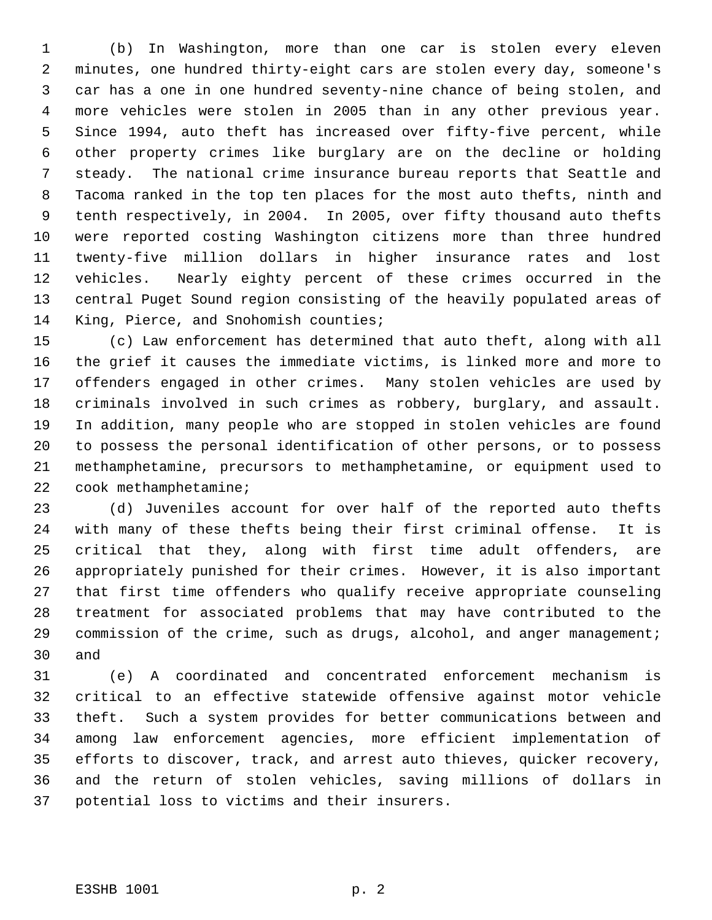(b) In Washington, more than one car is stolen every eleven minutes, one hundred thirty-eight cars are stolen every day, someone's car has a one in one hundred seventy-nine chance of being stolen, and more vehicles were stolen in 2005 than in any other previous year. Since 1994, auto theft has increased over fifty-five percent, while other property crimes like burglary are on the decline or holding steady. The national crime insurance bureau reports that Seattle and Tacoma ranked in the top ten places for the most auto thefts, ninth and tenth respectively, in 2004. In 2005, over fifty thousand auto thefts were reported costing Washington citizens more than three hundred twenty-five million dollars in higher insurance rates and lost vehicles. Nearly eighty percent of these crimes occurred in the central Puget Sound region consisting of the heavily populated areas of King, Pierce, and Snohomish counties;

 (c) Law enforcement has determined that auto theft, along with all the grief it causes the immediate victims, is linked more and more to offenders engaged in other crimes. Many stolen vehicles are used by criminals involved in such crimes as robbery, burglary, and assault. In addition, many people who are stopped in stolen vehicles are found to possess the personal identification of other persons, or to possess methamphetamine, precursors to methamphetamine, or equipment used to cook methamphetamine;

 (d) Juveniles account for over half of the reported auto thefts with many of these thefts being their first criminal offense. It is critical that they, along with first time adult offenders, are appropriately punished for their crimes. However, it is also important that first time offenders who qualify receive appropriate counseling treatment for associated problems that may have contributed to the 29 commission of the crime, such as drugs, alcohol, and anger management; and

 (e) A coordinated and concentrated enforcement mechanism is critical to an effective statewide offensive against motor vehicle theft. Such a system provides for better communications between and among law enforcement agencies, more efficient implementation of efforts to discover, track, and arrest auto thieves, quicker recovery, and the return of stolen vehicles, saving millions of dollars in potential loss to victims and their insurers.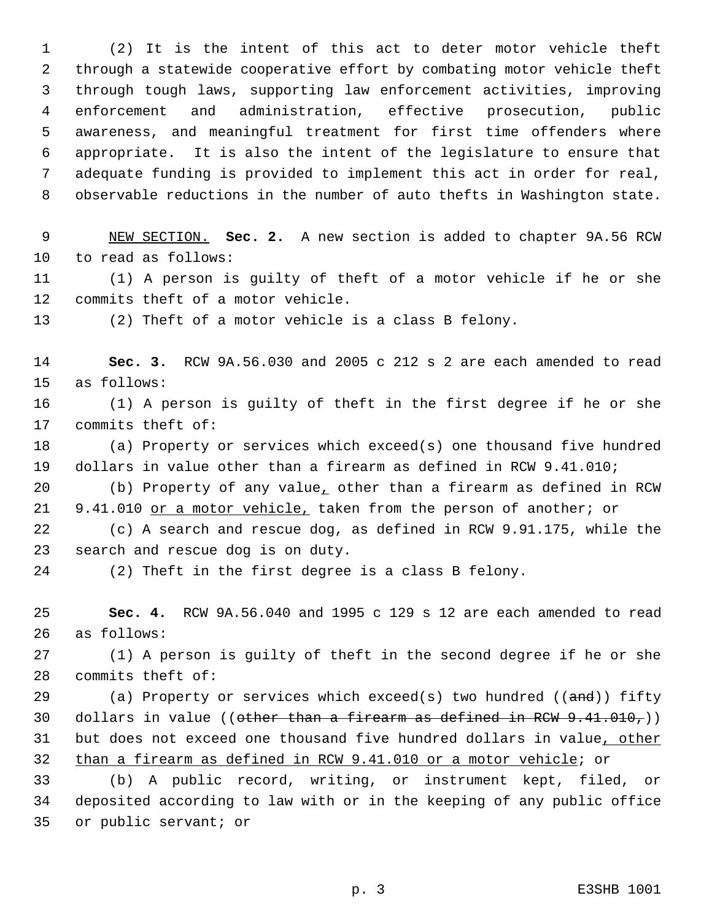(2) It is the intent of this act to deter motor vehicle theft through a statewide cooperative effort by combating motor vehicle theft through tough laws, supporting law enforcement activities, improving enforcement and administration, effective prosecution, public awareness, and meaningful treatment for first time offenders where appropriate. It is also the intent of the legislature to ensure that adequate funding is provided to implement this act in order for real, observable reductions in the number of auto thefts in Washington state.

 NEW SECTION. **Sec. 2.** A new section is added to chapter 9A.56 RCW to read as follows:

 (1) A person is guilty of theft of a motor vehicle if he or she commits theft of a motor vehicle.

(2) Theft of a motor vehicle is a class B felony.

 **Sec. 3.** RCW 9A.56.030 and 2005 c 212 s 2 are each amended to read as follows:

 (1) A person is guilty of theft in the first degree if he or she commits theft of:

 (a) Property or services which exceed(s) one thousand five hundred dollars in value other than a firearm as defined in RCW 9.41.010;

 (b) Property of any value, other than a firearm as defined in RCW 21 9.41.010 or a motor vehicle, taken from the person of another; or

 (c) A search and rescue dog, as defined in RCW 9.91.175, while the search and rescue dog is on duty.

(2) Theft in the first degree is a class B felony.

 **Sec. 4.** RCW 9A.56.040 and 1995 c 129 s 12 are each amended to read as follows:

 (1) A person is guilty of theft in the second degree if he or she commits theft of:

29 (a) Property or services which exceed(s) two hundred  $((\text{and}))$  fifty 30 dollars in value ((other than a firearm as defined in RCW  $9.41.010$ ,)) 31 but does not exceed one thousand five hundred dollars in value, other than a firearm as defined in RCW 9.41.010 or a motor vehicle; or

 (b) A public record, writing, or instrument kept, filed, or deposited according to law with or in the keeping of any public office or public servant; or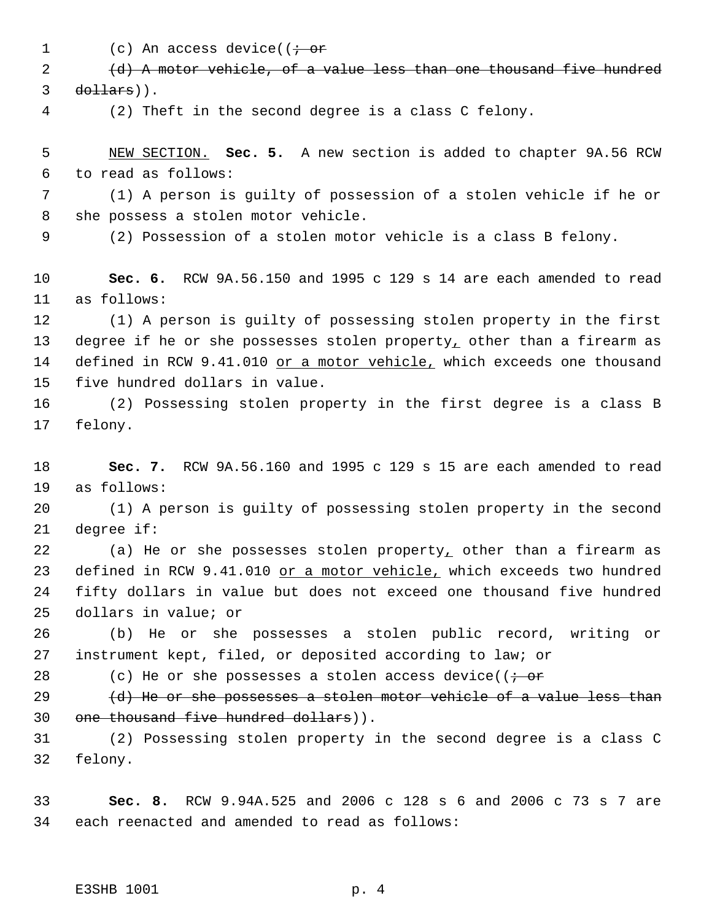1 (c) An access device(( $\dot{\tau}$  or

 (d) A motor vehicle, of a value less than one thousand five hundred dollars)).

(2) Theft in the second degree is a class C felony.

 NEW SECTION. **Sec. 5.** A new section is added to chapter 9A.56 RCW to read as follows:

 (1) A person is guilty of possession of a stolen vehicle if he or she possess a stolen motor vehicle.

(2) Possession of a stolen motor vehicle is a class B felony.

 **Sec. 6.** RCW 9A.56.150 and 1995 c 129 s 14 are each amended to read as follows:

 (1) A person is guilty of possessing stolen property in the first 13 degree if he or she possesses stolen property, other than a firearm as 14 defined in RCW 9.41.010 or a motor vehicle, which exceeds one thousand five hundred dollars in value.

 (2) Possessing stolen property in the first degree is a class B felony.

 **Sec. 7.** RCW 9A.56.160 and 1995 c 129 s 15 are each amended to read as follows:

 (1) A person is guilty of possessing stolen property in the second degree if:

 (a) He or she possesses stolen property, other than a firearm as 23 defined in RCW 9.41.010 or a motor vehicle, which exceeds two hundred fifty dollars in value but does not exceed one thousand five hundred dollars in value; or

 (b) He or she possesses a stolen public record, writing or instrument kept, filed, or deposited according to law; or

28 (c) He or she possesses a stolen access device( $\overline{(-\text{or}]}$ 

29  $(d)$  He or she possesses a stolen motor vehicle of a value less than one thousand five hundred dollars)).

 (2) Possessing stolen property in the second degree is a class C felony.

 **Sec. 8.** RCW 9.94A.525 and 2006 c 128 s 6 and 2006 c 73 s 7 are each reenacted and amended to read as follows: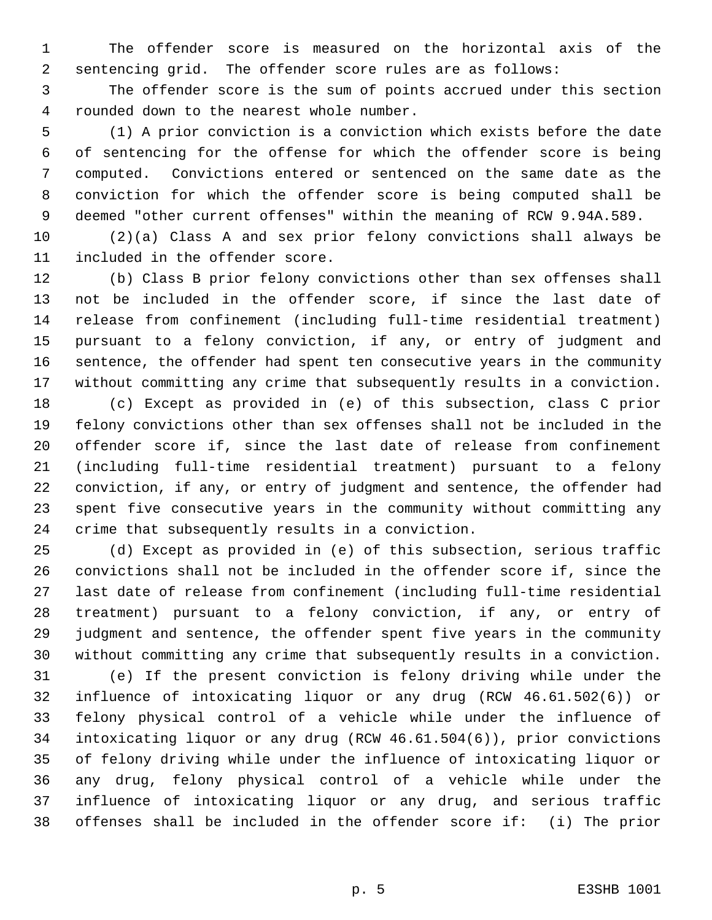The offender score is measured on the horizontal axis of the sentencing grid. The offender score rules are as follows:

 The offender score is the sum of points accrued under this section rounded down to the nearest whole number.

 (1) A prior conviction is a conviction which exists before the date of sentencing for the offense for which the offender score is being computed. Convictions entered or sentenced on the same date as the conviction for which the offender score is being computed shall be deemed "other current offenses" within the meaning of RCW 9.94A.589.

 (2)(a) Class A and sex prior felony convictions shall always be included in the offender score.

 (b) Class B prior felony convictions other than sex offenses shall not be included in the offender score, if since the last date of release from confinement (including full-time residential treatment) pursuant to a felony conviction, if any, or entry of judgment and sentence, the offender had spent ten consecutive years in the community without committing any crime that subsequently results in a conviction.

 (c) Except as provided in (e) of this subsection, class C prior felony convictions other than sex offenses shall not be included in the offender score if, since the last date of release from confinement (including full-time residential treatment) pursuant to a felony conviction, if any, or entry of judgment and sentence, the offender had spent five consecutive years in the community without committing any crime that subsequently results in a conviction.

 (d) Except as provided in (e) of this subsection, serious traffic convictions shall not be included in the offender score if, since the last date of release from confinement (including full-time residential treatment) pursuant to a felony conviction, if any, or entry of judgment and sentence, the offender spent five years in the community without committing any crime that subsequently results in a conviction.

 (e) If the present conviction is felony driving while under the influence of intoxicating liquor or any drug (RCW 46.61.502(6)) or felony physical control of a vehicle while under the influence of intoxicating liquor or any drug (RCW 46.61.504(6)), prior convictions of felony driving while under the influence of intoxicating liquor or any drug, felony physical control of a vehicle while under the influence of intoxicating liquor or any drug, and serious traffic offenses shall be included in the offender score if: (i) The prior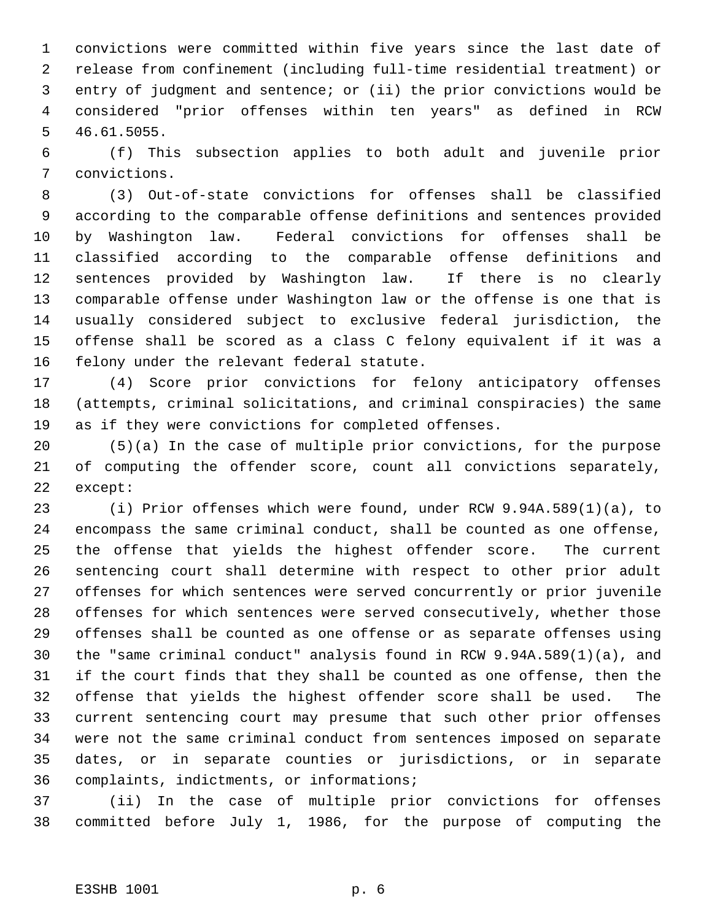convictions were committed within five years since the last date of release from confinement (including full-time residential treatment) or entry of judgment and sentence; or (ii) the prior convictions would be considered "prior offenses within ten years" as defined in RCW 46.61.5055.

 (f) This subsection applies to both adult and juvenile prior convictions.

 (3) Out-of-state convictions for offenses shall be classified according to the comparable offense definitions and sentences provided by Washington law. Federal convictions for offenses shall be classified according to the comparable offense definitions and sentences provided by Washington law. If there is no clearly comparable offense under Washington law or the offense is one that is usually considered subject to exclusive federal jurisdiction, the offense shall be scored as a class C felony equivalent if it was a felony under the relevant federal statute.

 (4) Score prior convictions for felony anticipatory offenses (attempts, criminal solicitations, and criminal conspiracies) the same as if they were convictions for completed offenses.

 (5)(a) In the case of multiple prior convictions, for the purpose of computing the offender score, count all convictions separately, except:

 (i) Prior offenses which were found, under RCW 9.94A.589(1)(a), to encompass the same criminal conduct, shall be counted as one offense, the offense that yields the highest offender score. The current sentencing court shall determine with respect to other prior adult offenses for which sentences were served concurrently or prior juvenile offenses for which sentences were served consecutively, whether those offenses shall be counted as one offense or as separate offenses using the "same criminal conduct" analysis found in RCW 9.94A.589(1)(a), and if the court finds that they shall be counted as one offense, then the offense that yields the highest offender score shall be used. The current sentencing court may presume that such other prior offenses were not the same criminal conduct from sentences imposed on separate dates, or in separate counties or jurisdictions, or in separate complaints, indictments, or informations;

 (ii) In the case of multiple prior convictions for offenses committed before July 1, 1986, for the purpose of computing the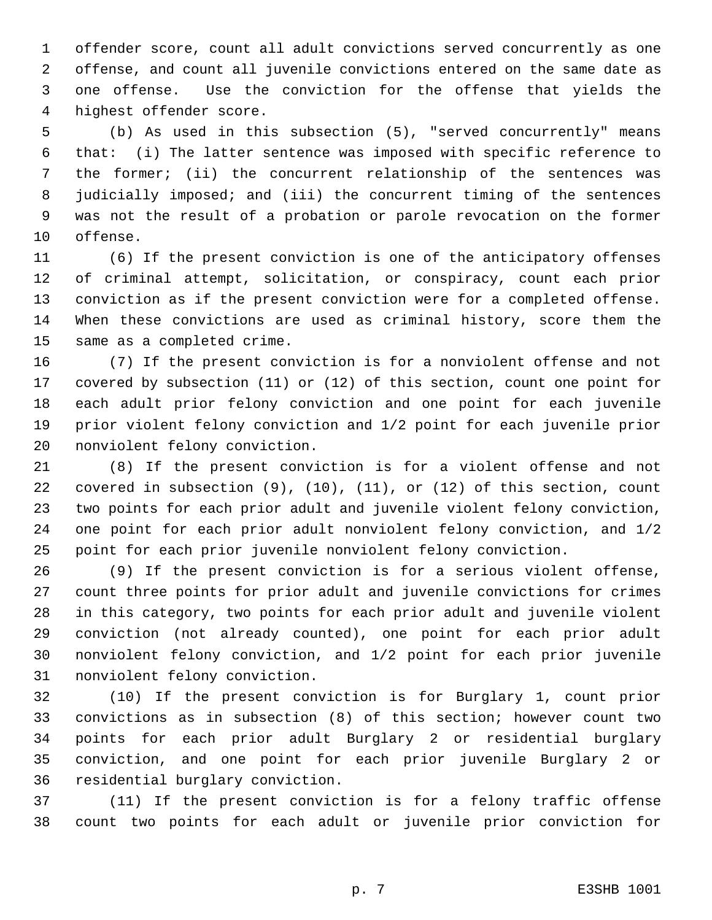offender score, count all adult convictions served concurrently as one offense, and count all juvenile convictions entered on the same date as one offense. Use the conviction for the offense that yields the highest offender score.

 (b) As used in this subsection (5), "served concurrently" means that: (i) The latter sentence was imposed with specific reference to the former; (ii) the concurrent relationship of the sentences was judicially imposed; and (iii) the concurrent timing of the sentences was not the result of a probation or parole revocation on the former offense.

 (6) If the present conviction is one of the anticipatory offenses of criminal attempt, solicitation, or conspiracy, count each prior conviction as if the present conviction were for a completed offense. When these convictions are used as criminal history, score them the same as a completed crime.

 (7) If the present conviction is for a nonviolent offense and not covered by subsection (11) or (12) of this section, count one point for each adult prior felony conviction and one point for each juvenile prior violent felony conviction and 1/2 point for each juvenile prior nonviolent felony conviction.

 (8) If the present conviction is for a violent offense and not covered in subsection (9), (10), (11), or (12) of this section, count two points for each prior adult and juvenile violent felony conviction, one point for each prior adult nonviolent felony conviction, and 1/2 point for each prior juvenile nonviolent felony conviction.

 (9) If the present conviction is for a serious violent offense, count three points for prior adult and juvenile convictions for crimes in this category, two points for each prior adult and juvenile violent conviction (not already counted), one point for each prior adult nonviolent felony conviction, and 1/2 point for each prior juvenile nonviolent felony conviction.

 (10) If the present conviction is for Burglary 1, count prior convictions as in subsection (8) of this section; however count two points for each prior adult Burglary 2 or residential burglary conviction, and one point for each prior juvenile Burglary 2 or residential burglary conviction.

 (11) If the present conviction is for a felony traffic offense count two points for each adult or juvenile prior conviction for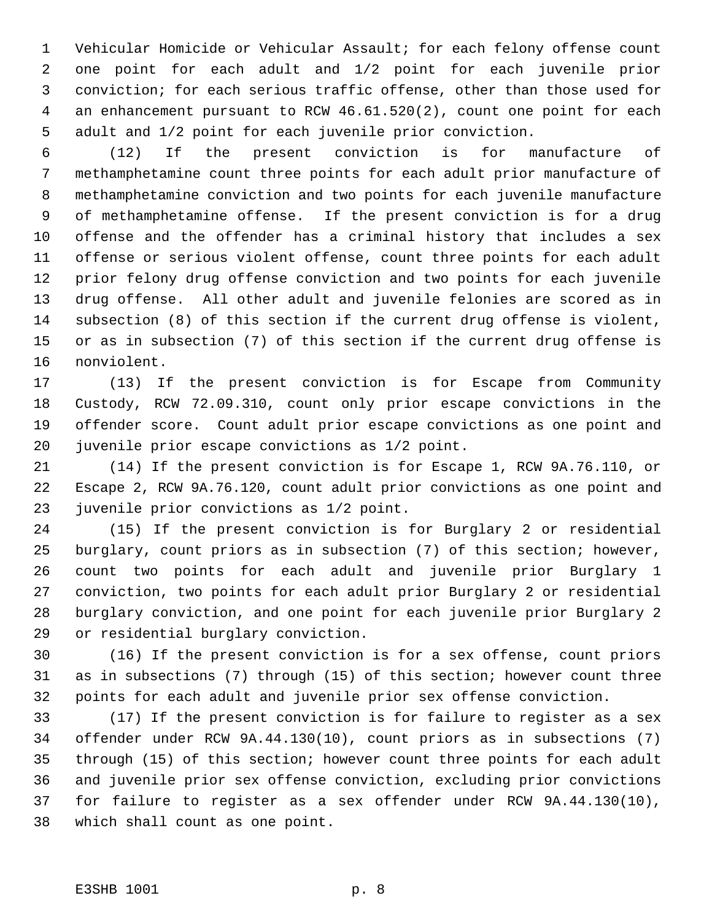Vehicular Homicide or Vehicular Assault; for each felony offense count one point for each adult and 1/2 point for each juvenile prior conviction; for each serious traffic offense, other than those used for an enhancement pursuant to RCW 46.61.520(2), count one point for each adult and 1/2 point for each juvenile prior conviction.

 (12) If the present conviction is for manufacture of methamphetamine count three points for each adult prior manufacture of methamphetamine conviction and two points for each juvenile manufacture of methamphetamine offense. If the present conviction is for a drug offense and the offender has a criminal history that includes a sex offense or serious violent offense, count three points for each adult prior felony drug offense conviction and two points for each juvenile drug offense. All other adult and juvenile felonies are scored as in subsection (8) of this section if the current drug offense is violent, or as in subsection (7) of this section if the current drug offense is nonviolent.

 (13) If the present conviction is for Escape from Community Custody, RCW 72.09.310, count only prior escape convictions in the offender score. Count adult prior escape convictions as one point and juvenile prior escape convictions as 1/2 point.

 (14) If the present conviction is for Escape 1, RCW 9A.76.110, or Escape 2, RCW 9A.76.120, count adult prior convictions as one point and juvenile prior convictions as 1/2 point.

 (15) If the present conviction is for Burglary 2 or residential burglary, count priors as in subsection (7) of this section; however, count two points for each adult and juvenile prior Burglary 1 conviction, two points for each adult prior Burglary 2 or residential burglary conviction, and one point for each juvenile prior Burglary 2 or residential burglary conviction.

 (16) If the present conviction is for a sex offense, count priors as in subsections (7) through (15) of this section; however count three points for each adult and juvenile prior sex offense conviction.

 (17) If the present conviction is for failure to register as a sex offender under RCW 9A.44.130(10), count priors as in subsections (7) through (15) of this section; however count three points for each adult and juvenile prior sex offense conviction, excluding prior convictions for failure to register as a sex offender under RCW 9A.44.130(10), which shall count as one point.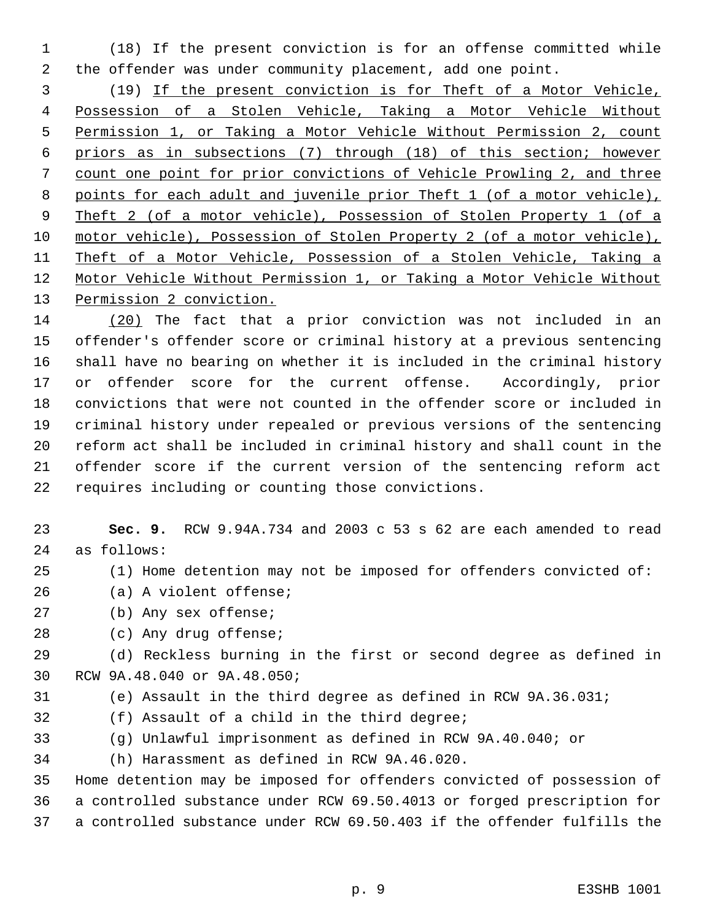(18) If the present conviction is for an offense committed while the offender was under community placement, add one point.

 (19) If the present conviction is for Theft of a Motor Vehicle, Possession of a Stolen Vehicle, Taking a Motor Vehicle Without Permission 1, or Taking a Motor Vehicle Without Permission 2, count priors as in subsections (7) through (18) of this section; however count one point for prior convictions of Vehicle Prowling 2, and three points for each adult and juvenile prior Theft 1 (of a motor vehicle), Theft 2 (of a motor vehicle), Possession of Stolen Property 1 (of a motor vehicle), Possession of Stolen Property 2 (of a motor vehicle), Theft of a Motor Vehicle, Possession of a Stolen Vehicle, Taking a Motor Vehicle Without Permission 1, or Taking a Motor Vehicle Without 13 Permission 2 conviction.

 (20) The fact that a prior conviction was not included in an offender's offender score or criminal history at a previous sentencing shall have no bearing on whether it is included in the criminal history or offender score for the current offense. Accordingly, prior convictions that were not counted in the offender score or included in criminal history under repealed or previous versions of the sentencing reform act shall be included in criminal history and shall count in the offender score if the current version of the sentencing reform act requires including or counting those convictions.

 **Sec. 9.** RCW 9.94A.734 and 2003 c 53 s 62 are each amended to read as follows:

- (1) Home detention may not be imposed for offenders convicted of:
- (a) A violent offense;
- (b) Any sex offense;
- (c) Any drug offense;

 (d) Reckless burning in the first or second degree as defined in RCW 9A.48.040 or 9A.48.050;

- (e) Assault in the third degree as defined in RCW 9A.36.031;
- (f) Assault of a child in the third degree;
- (g) Unlawful imprisonment as defined in RCW 9A.40.040; or

(h) Harassment as defined in RCW 9A.46.020.

 Home detention may be imposed for offenders convicted of possession of a controlled substance under RCW 69.50.4013 or forged prescription for a controlled substance under RCW 69.50.403 if the offender fulfills the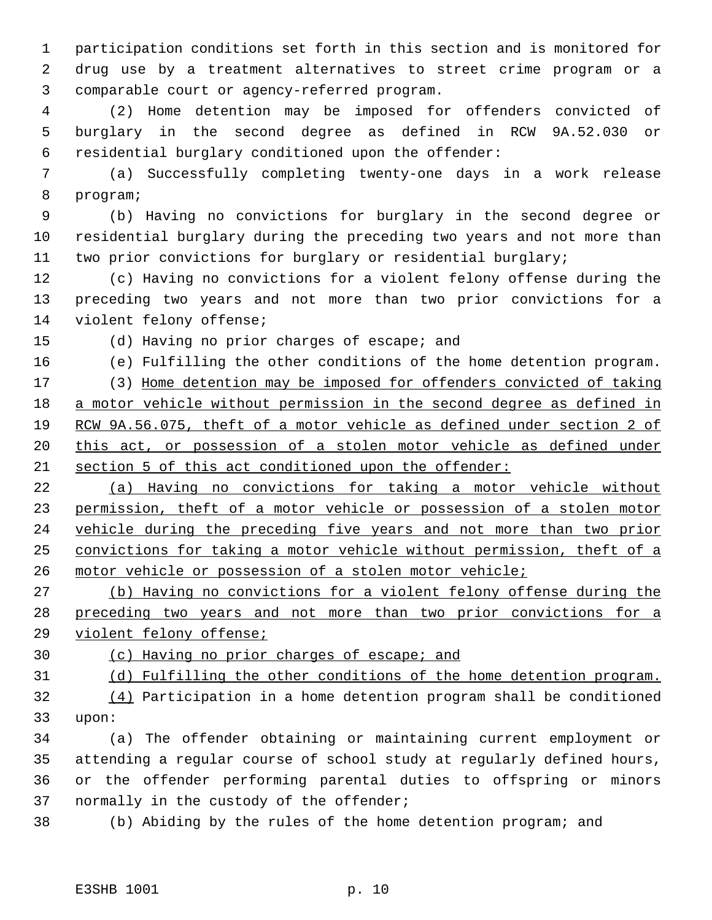participation conditions set forth in this section and is monitored for drug use by a treatment alternatives to street crime program or a comparable court or agency-referred program.

 (2) Home detention may be imposed for offenders convicted of burglary in the second degree as defined in RCW 9A.52.030 or residential burglary conditioned upon the offender:

 (a) Successfully completing twenty-one days in a work release program;

 (b) Having no convictions for burglary in the second degree or residential burglary during the preceding two years and not more than two prior convictions for burglary or residential burglary;

 (c) Having no convictions for a violent felony offense during the preceding two years and not more than two prior convictions for a violent felony offense;

(d) Having no prior charges of escape; and

(e) Fulfilling the other conditions of the home detention program.

 (3) Home detention may be imposed for offenders convicted of taking a motor vehicle without permission in the second degree as defined in RCW 9A.56.075, theft of a motor vehicle as defined under section 2 of 20 this act, or possession of a stolen motor vehicle as defined under section 5 of this act conditioned upon the offender:

 (a) Having no convictions for taking a motor vehicle without permission, theft of a motor vehicle or possession of a stolen motor vehicle during the preceding five years and not more than two prior convictions for taking a motor vehicle without permission, theft of a motor vehicle or possession of a stolen motor vehicle;

 (b) Having no convictions for a violent felony offense during the preceding two years and not more than two prior convictions for a violent felony offense;

(c) Having no prior charges of escape; and

(d) Fulfilling the other conditions of the home detention program.

 (4) Participation in a home detention program shall be conditioned upon:

 (a) The offender obtaining or maintaining current employment or attending a regular course of school study at regularly defined hours, or the offender performing parental duties to offspring or minors normally in the custody of the offender;

(b) Abiding by the rules of the home detention program; and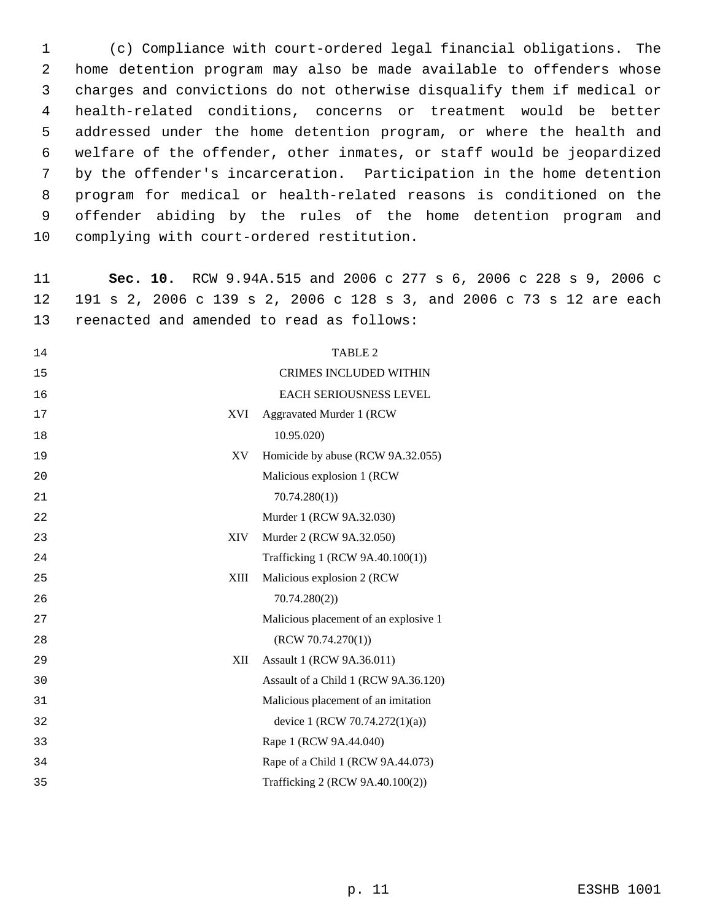(c) Compliance with court-ordered legal financial obligations. The home detention program may also be made available to offenders whose charges and convictions do not otherwise disqualify them if medical or health-related conditions, concerns or treatment would be better addressed under the home detention program, or where the health and welfare of the offender, other inmates, or staff would be jeopardized by the offender's incarceration. Participation in the home detention program for medical or health-related reasons is conditioned on the offender abiding by the rules of the home detention program and complying with court-ordered restitution.

 **Sec. 10.** RCW 9.94A.515 and 2006 c 277 s 6, 2006 c 228 s 9, 2006 c 191 s 2, 2006 c 139 s 2, 2006 c 128 s 3, and 2006 c 73 s 12 are each reenacted and amended to read as follows:

|            | <b>TABLE 2</b>                        |
|------------|---------------------------------------|
|            | <b>CRIMES INCLUDED WITHIN</b>         |
|            | EACH SERIOUSNESS LEVEL                |
| <b>XVI</b> | Aggravated Murder 1 (RCW              |
|            | 10.95.020)                            |
| XV         | Homicide by abuse (RCW 9A.32.055)     |
|            | Malicious explosion 1 (RCW            |
|            | 70.74.280(1)                          |
|            | Murder 1 (RCW 9A.32.030)              |
| <b>XIV</b> | Murder 2 (RCW 9A.32.050)              |
|            | Trafficking 1 (RCW 9A.40.100(1))      |
| XIII       | Malicious explosion 2 (RCW)           |
|            | 70.74.280(2)                          |
|            | Malicious placement of an explosive 1 |
|            | (RCW 70.74.270(1))                    |
| XII        | Assault 1 (RCW 9A.36.011)             |
|            | Assault of a Child 1 (RCW 9A.36.120)  |
|            | Malicious placement of an imitation   |
|            | device 1 (RCW 70.74.272(1)(a))        |
|            | Rape 1 (RCW 9A.44.040)                |
|            | Rape of a Child 1 (RCW 9A.44.073)     |
|            | Trafficking 2 (RCW 9A.40.100(2))      |
|            |                                       |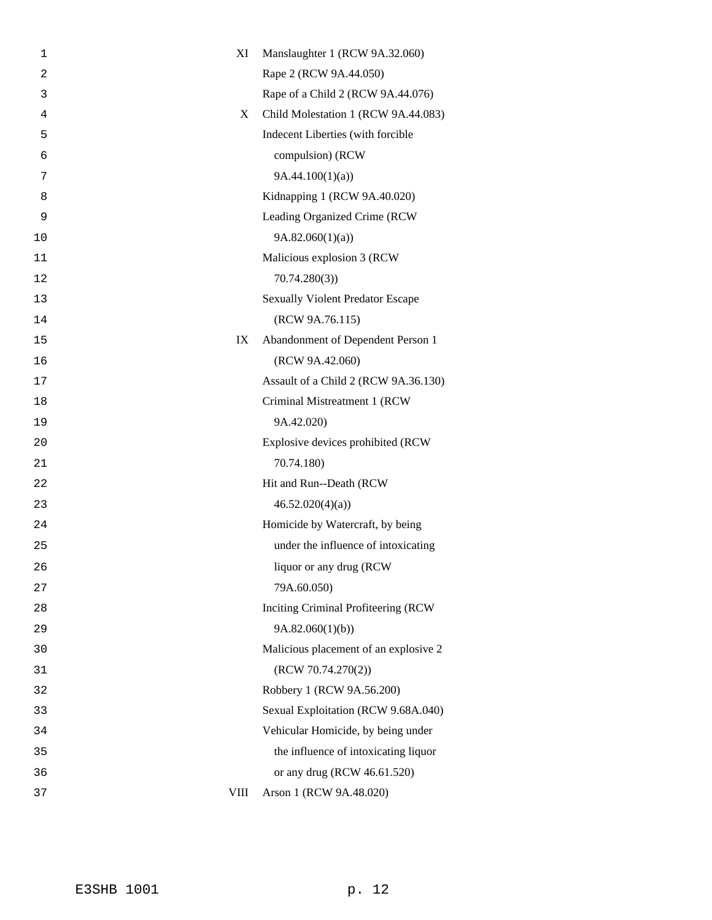| 1              | XI          | Manslaughter 1 (RCW 9A.32.060)          |
|----------------|-------------|-----------------------------------------|
| $\overline{a}$ |             | Rape 2 (RCW 9A.44.050)                  |
| 3              |             | Rape of a Child 2 (RCW 9A.44.076)       |
| 4              | X           | Child Molestation 1 (RCW 9A.44.083)     |
| 5              |             | Indecent Liberties (with forcible       |
| 6              |             | compulsion) (RCW                        |
| 7              |             | 9A.44.100(1)(a)                         |
| 8              |             | Kidnapping 1 (RCW 9A.40.020)            |
| 9              |             | Leading Organized Crime (RCW            |
| 10             |             | 9A.82.060(1)(a)                         |
| 11             |             | Malicious explosion 3 (RCW              |
| 12             |             | 70.74.280(3)                            |
| 13             |             | <b>Sexually Violent Predator Escape</b> |
| 14             |             | (RCW 9A.76.115)                         |
| 15             | IX          | Abandonment of Dependent Person 1       |
| 16             |             | (RCW 9A.42.060)                         |
| 17             |             | Assault of a Child 2 (RCW 9A.36.130)    |
| 18             |             | Criminal Mistreatment 1 (RCW            |
| 19             |             | 9A.42.020)                              |
| 20             |             | Explosive devices prohibited (RCW       |
| 21             |             | 70.74.180)                              |
| 22             |             | Hit and Run--Death (RCW                 |
| 23             |             | 46.52.020(4)(a)                         |
| 24             |             | Homicide by Watercraft, by being        |
| 25             |             | under the influence of intoxicating     |
| 26             |             | liquor or any drug (RCW)                |
| 27             |             | 79A.60.050)                             |
| 28             |             | Inciting Criminal Profiteering (RCW     |
| 29             |             | 9A.82.060(1)(b)                         |
| 30             |             | Malicious placement of an explosive 2   |
| 31             |             | (RCW 70.74.270(2))                      |
| 32             |             | Robbery 1 (RCW 9A.56.200)               |
| 33             |             | Sexual Exploitation (RCW 9.68A.040)     |
| 34             |             | Vehicular Homicide, by being under      |
| 35             |             | the influence of intoxicating liquor    |
| 36             |             | or any drug (RCW 46.61.520)             |
| 37             | <b>VIII</b> | Arson 1 (RCW 9A.48.020)                 |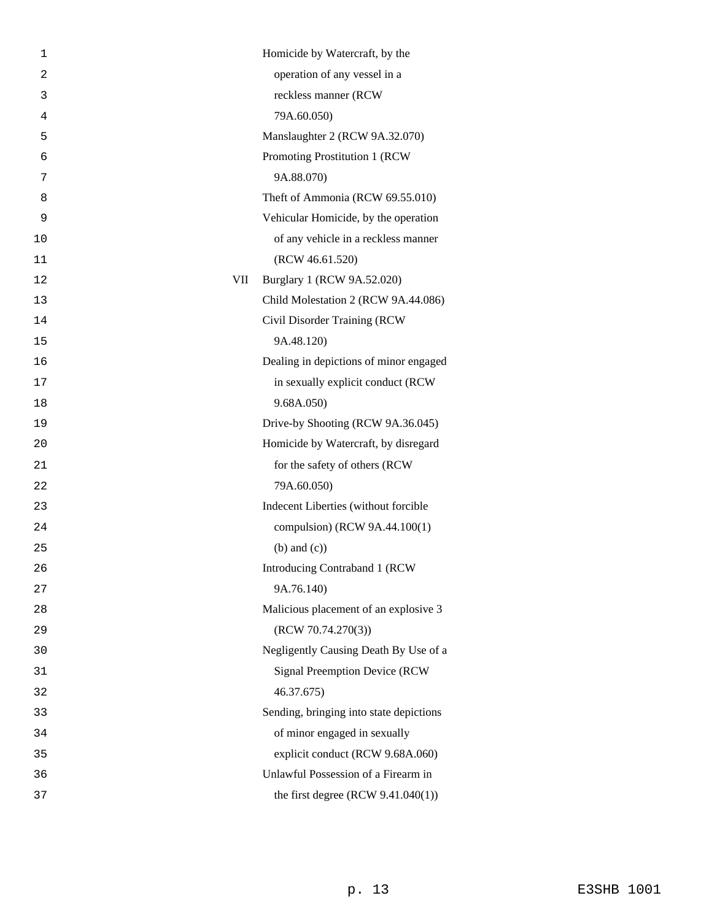| 1  |            | Homicide by Watercraft, by the          |
|----|------------|-----------------------------------------|
| 2  |            | operation of any vessel in a            |
| 3  |            | reckless manner (RCW                    |
| 4  |            | 79A.60.050)                             |
| 5  |            | Manslaughter 2 (RCW 9A.32.070)          |
| 6  |            | Promoting Prostitution 1 (RCW           |
| 7  |            | 9A.88.070)                              |
| 8  |            | Theft of Ammonia (RCW 69.55.010)        |
| 9  |            | Vehicular Homicide, by the operation    |
| 10 |            | of any vehicle in a reckless manner     |
| 11 |            | (RCW 46.61.520)                         |
| 12 | <b>VII</b> | Burglary 1 (RCW 9A.52.020)              |
| 13 |            | Child Molestation 2 (RCW 9A.44.086)     |
| 14 |            | Civil Disorder Training (RCW            |
| 15 |            | 9A.48.120)                              |
| 16 |            | Dealing in depictions of minor engaged  |
| 17 |            | in sexually explicit conduct (RCW       |
| 18 |            | 9.68A.050)                              |
| 19 |            | Drive-by Shooting (RCW 9A.36.045)       |
| 20 |            | Homicide by Watercraft, by disregard    |
| 21 |            | for the safety of others (RCW           |
| 22 |            | 79A.60.050)                             |
| 23 |            | Indecent Liberties (without forcible    |
| 24 |            | compulsion) (RCW 9A.44.100(1)           |
| 25 |            | $(b)$ and $(c)$ )                       |
| 26 |            | Introducing Contraband 1 (RCW           |
| 27 |            | 9A.76.140)                              |
| 28 |            | Malicious placement of an explosive 3   |
| 29 |            | (RCW 70.74.270(3))                      |
| 30 |            | Negligently Causing Death By Use of a   |
| 31 |            | Signal Preemption Device (RCW           |
| 32 |            | 46.37.675)                              |
| 33 |            | Sending, bringing into state depictions |
| 34 |            | of minor engaged in sexually            |
| 35 |            | explicit conduct (RCW 9.68A.060)        |
| 36 |            | Unlawful Possession of a Firearm in     |
| 37 |            | the first degree $(RCW 9.41.040(1))$    |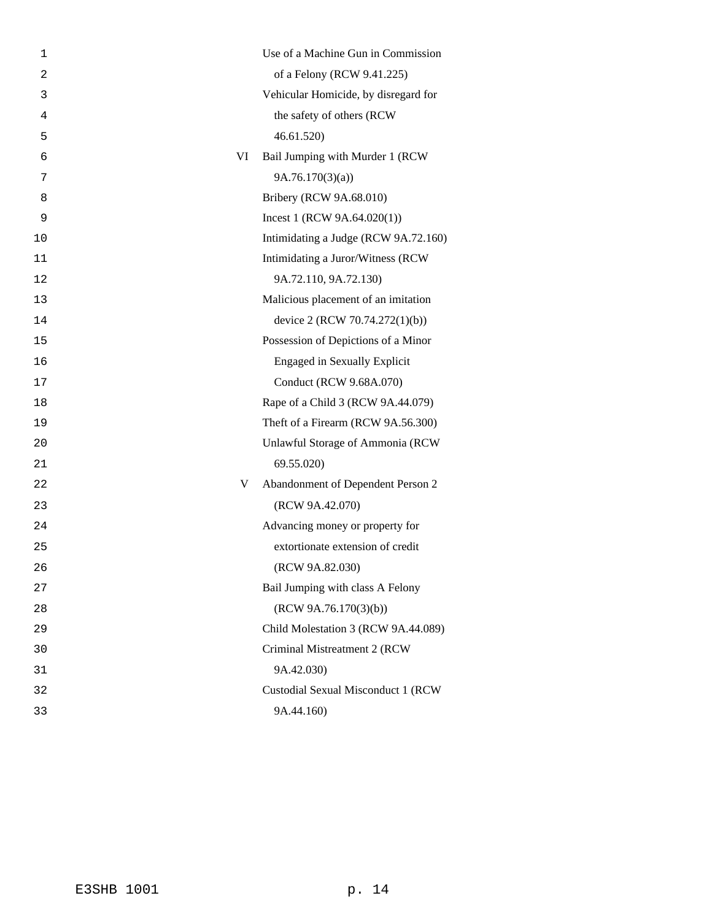| 1  | Use of a Machine Gun in Commission     |
|----|----------------------------------------|
| 2  | of a Felony (RCW 9.41.225)             |
| 3  | Vehicular Homicide, by disregard for   |
| 4  | the safety of others (RCW              |
| 5  | 46.61.520                              |
| 6  | VI<br>Bail Jumping with Murder 1 (RCW  |
| 7  | 9A.76.170(3)(a)                        |
| 8  | Bribery (RCW 9A.68.010)                |
| 9  | Incest 1 (RCW $9A.64.020(1)$ )         |
| 10 | Intimidating a Judge (RCW 9A.72.160)   |
| 11 | Intimidating a Juror/Witness (RCW      |
| 12 | 9A.72.110, 9A.72.130)                  |
| 13 | Malicious placement of an imitation    |
| 14 | device 2 (RCW 70.74.272(1)(b))         |
| 15 | Possession of Depictions of a Minor    |
| 16 | <b>Engaged in Sexually Explicit</b>    |
| 17 | Conduct (RCW 9.68A.070)                |
| 18 | Rape of a Child 3 (RCW 9A.44.079)      |
| 19 | Theft of a Firearm (RCW 9A.56.300)     |
| 20 | Unlawful Storage of Ammonia (RCW       |
| 21 | 69.55.020)                             |
| 22 | Abandonment of Dependent Person 2<br>V |
| 23 | (RCW 9A.42.070)                        |
| 24 | Advancing money or property for        |
| 25 | extortionate extension of credit       |
| 26 | (RCW 9A.82.030)                        |
| 27 | Bail Jumping with class A Felony       |
| 28 | (RCW 9A.76.170(3)(b))                  |
| 29 | Child Molestation 3 (RCW 9A.44.089)    |
| 30 | Criminal Mistreatment 2 (RCW           |
| 31 | 9A.42.030)                             |
| 32 | Custodial Sexual Misconduct 1 (RCW     |
| 33 | 9A.44.160)                             |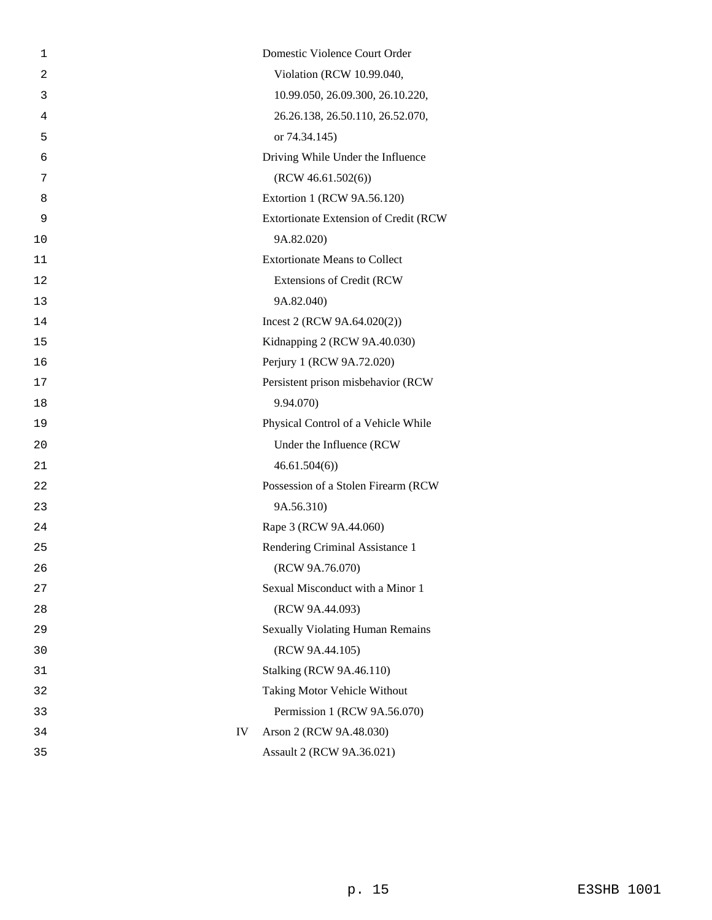| 1  |    | Domestic Violence Court Order           |
|----|----|-----------------------------------------|
| 2  |    | Violation (RCW 10.99.040,               |
| 3  |    | 10.99.050, 26.09.300, 26.10.220,        |
| 4  |    | 26.26.138, 26.50.110, 26.52.070,        |
| 5  |    | or 74.34.145)                           |
| 6  |    | Driving While Under the Influence       |
| 7  |    | (RCW 46.61.502(6))                      |
| 8  |    | Extortion 1 (RCW 9A.56.120)             |
| 9  |    | Extortionate Extension of Credit (RCW   |
| 10 |    | 9A.82.020)                              |
| 11 |    | <b>Extortionate Means to Collect</b>    |
| 12 |    | Extensions of Credit (RCW               |
| 13 |    | 9A.82.040)                              |
| 14 |    | Incest 2 (RCW 9A.64.020(2))             |
| 15 |    | Kidnapping 2 (RCW 9A.40.030)            |
| 16 |    | Perjury 1 (RCW 9A.72.020)               |
| 17 |    | Persistent prison misbehavior (RCW      |
| 18 |    | 9.94.070)                               |
| 19 |    | Physical Control of a Vehicle While     |
| 20 |    | Under the Influence (RCW                |
| 21 |    | 46.61.504(6)                            |
| 22 |    | Possession of a Stolen Firearm (RCW     |
| 23 |    | 9A.56.310)                              |
| 24 |    | Rape 3 (RCW 9A.44.060)                  |
| 25 |    | Rendering Criminal Assistance 1         |
| 26 |    | (RCW 9A.76.070)                         |
| 27 |    | Sexual Misconduct with a Minor 1        |
| 28 |    | (RCW 9A.44.093)                         |
| 29 |    | <b>Sexually Violating Human Remains</b> |
| 30 |    | (RCW 9A.44.105)                         |
| 31 |    | <b>Stalking (RCW 9A.46.110)</b>         |
| 32 |    | Taking Motor Vehicle Without            |
| 33 |    | Permission 1 (RCW 9A.56.070)            |
| 34 | IV | Arson 2 (RCW 9A.48.030)                 |
| 35 |    | Assault 2 (RCW 9A.36.021)               |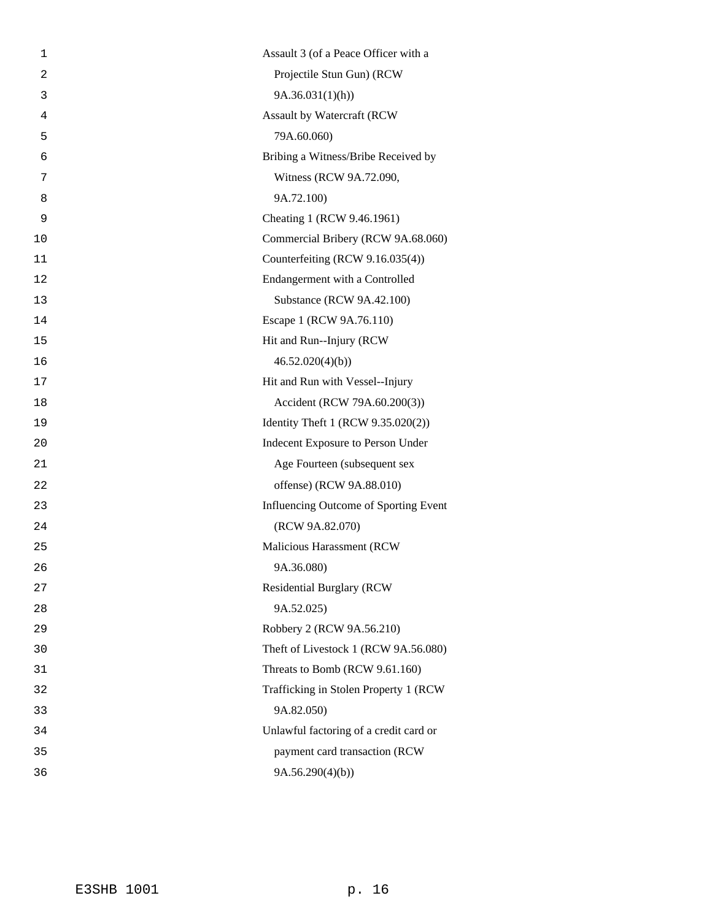| 1  | Assault 3 (of a Peace Officer with a   |
|----|----------------------------------------|
| 2  | Projectile Stun Gun) (RCW              |
| 3  | 9A.36.031(1)(h)                        |
| 4  | Assault by Watercraft (RCW             |
| 5  | 79A.60.060)                            |
| 6  | Bribing a Witness/Bribe Received by    |
| 7  | Witness (RCW 9A.72.090,                |
| 8  | 9A.72.100)                             |
| 9  | Cheating 1 (RCW 9.46.1961)             |
| 10 | Commercial Bribery (RCW 9A.68.060)     |
| 11 | Counterfeiting (RCW 9.16.035(4))       |
| 12 | Endangerment with a Controlled         |
| 13 | Substance (RCW 9A.42.100)              |
| 14 | Escape 1 (RCW 9A.76.110)               |
| 15 | Hit and Run--Injury (RCW)              |
| 16 | 46.52.020(4)(b)                        |
| 17 | Hit and Run with Vessel--Injury        |
| 18 | Accident (RCW 79A.60.200(3))           |
| 19 | Identity Theft 1 (RCW 9.35.020(2))     |
| 20 | Indecent Exposure to Person Under      |
| 21 | Age Fourteen (subsequent sex           |
| 22 | offense) (RCW 9A.88.010)               |
| 23 | Influencing Outcome of Sporting Event  |
| 24 | (RCW 9A.82.070)                        |
| 25 | Malicious Harassment (RCW              |
| 26 | 9A.36.080)                             |
| 27 | <b>Residential Burglary (RCW</b>       |
| 28 | 9A.52.025)                             |
| 29 | Robbery 2 (RCW 9A.56.210)              |
| 30 | Theft of Livestock 1 (RCW 9A.56.080)   |
| 31 | Threats to Bomb (RCW 9.61.160)         |
| 32 | Trafficking in Stolen Property 1 (RCW) |
| 33 | 9A.82.050)                             |
| 34 | Unlawful factoring of a credit card or |
| 35 | payment card transaction (RCW          |
| 36 | 9A.56.290(4)(b)                        |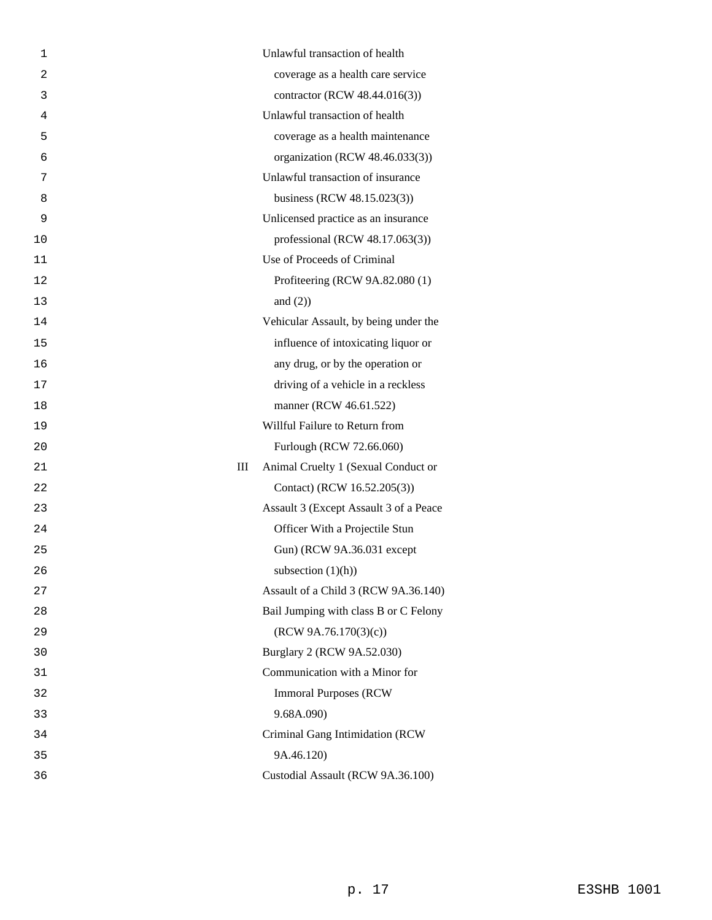| 1              | Unlawful transaction of health           |
|----------------|------------------------------------------|
| $\overline{2}$ | coverage as a health care service        |
| 3              | contractor (RCW 48.44.016(3))            |
| 4              | Unlawful transaction of health           |
| 5              | coverage as a health maintenance         |
| 6              | organization (RCW 48.46.033(3))          |
| 7              | Unlawful transaction of insurance        |
| 8              | business (RCW 48.15.023(3))              |
| 9              | Unlicensed practice as an insurance      |
| 10             | professional (RCW $48.17.063(3)$ )       |
| 11             | Use of Proceeds of Criminal              |
| 12             | Profiteering (RCW 9A.82.080 (1)          |
| 13             | and $(2)$ )                              |
| 14             | Vehicular Assault, by being under the    |
| 15             | influence of intoxicating liquor or      |
| 16             | any drug, or by the operation or         |
| 17             | driving of a vehicle in a reckless       |
| 18             | manner (RCW 46.61.522)                   |
| 19             | Willful Failure to Return from           |
| 20             | Furlough (RCW 72.66.060)                 |
| 21             | Ш<br>Animal Cruelty 1 (Sexual Conduct or |
| 22             | Contact) (RCW 16.52.205(3))              |
| 23             | Assault 3 (Except Assault 3 of a Peace   |
| 24             | Officer With a Projectile Stun           |
| 25             | Gun) (RCW 9A.36.031 except               |
| 26             | subsection $(1)(h)$                      |
| 27             | Assault of a Child 3 (RCW 9A.36.140)     |
| 28             | Bail Jumping with class B or C Felony    |
| 29             | (RCW 9A.76.170(3)(c))                    |
| 30             | Burglary 2 (RCW 9A.52.030)               |
| 31             | Communication with a Minor for           |
| 32             | <b>Immoral Purposes (RCW)</b>            |
| 33             | 9.68A.090)                               |
| 34             | Criminal Gang Intimidation (RCW          |
| 35             | 9A.46.120)                               |
| 36             | Custodial Assault (RCW 9A.36.100)        |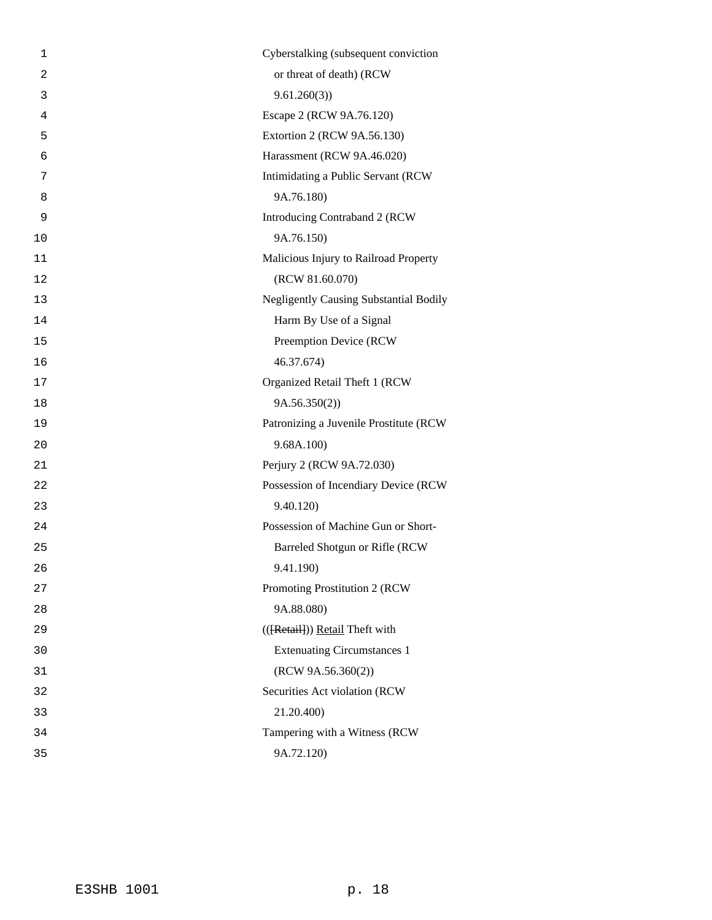| 1              | Cyberstalking (subsequent conviction          |
|----------------|-----------------------------------------------|
| $\overline{2}$ | or threat of death) (RCW                      |
| 3              | 9.61.260(3)                                   |
| 4              | Escape 2 (RCW 9A.76.120)                      |
| 5              | Extortion 2 (RCW 9A.56.130)                   |
| 6              | Harassment (RCW 9A.46.020)                    |
| 7              | Intimidating a Public Servant (RCW)           |
| 8              | 9A.76.180)                                    |
| 9              | Introducing Contraband 2 (RCW                 |
| 10             | 9A.76.150)                                    |
| 11             | Malicious Injury to Railroad Property         |
| 12             | (RCW 81.60.070)                               |
| 13             | <b>Negligently Causing Substantial Bodily</b> |
| 14             | Harm By Use of a Signal                       |
| 15             | Preemption Device (RCW                        |
| 16             | 46.37.674)                                    |
| 17             | Organized Retail Theft 1 (RCW                 |
| 18             | 9A.56.350(2))                                 |
| 19             | Patronizing a Juvenile Prostitute (RCW        |
| 20             | 9.68A.100)                                    |
| 21             | Perjury 2 (RCW 9A.72.030)                     |
| 22             | Possession of Incendiary Device (RCW          |
| 23             | 9.40.120)                                     |
| 24             | Possession of Machine Gun or Short-           |
| 25             | Barreled Shotgun or Rifle (RCW                |
| 26             | 9.41.190)                                     |
| 27             | Promoting Prostitution 2 (RCW                 |
| 28             | 9A.88.080)                                    |
| 29             | (({Retail})) Retail Theft with                |
| 30             | <b>Extenuating Circumstances 1</b>            |
| 31             | (RCW 9A.56.360(2))                            |
| 32             | Securities Act violation (RCW                 |
| 33             | 21.20.400)                                    |
| 34             | Tampering with a Witness (RCW                 |
| 35             | 9A.72.120)                                    |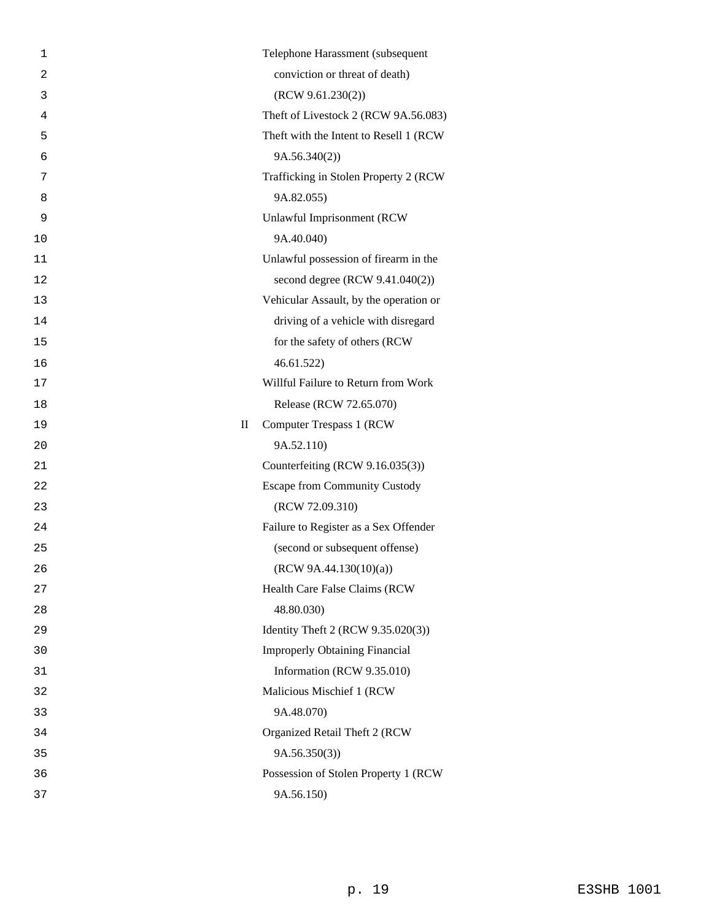| 1              |                        | Telephone Harassment (subsequent        |
|----------------|------------------------|-----------------------------------------|
| $\overline{2}$ |                        | conviction or threat of death)          |
| 3              |                        | (RCW 9.61.230(2))                       |
| 4              |                        | Theft of Livestock 2 (RCW 9A.56.083)    |
| 5              |                        | Theft with the Intent to Resell 1 (RCW) |
| 6              |                        | 9A.56.340(2)                            |
| 7              |                        | Trafficking in Stolen Property 2 (RCW   |
| 8              |                        | 9A.82.055)                              |
| 9              |                        | Unlawful Imprisonment (RCW              |
| 10             |                        | 9A.40.040)                              |
| 11             |                        | Unlawful possession of firearm in the   |
| 12             |                        | second degree (RCW 9.41.040(2))         |
| 13             |                        | Vehicular Assault, by the operation or  |
| 14             |                        | driving of a vehicle with disregard     |
| 15             |                        | for the safety of others (RCW           |
| 16             |                        | 46.61.522                               |
| 17             |                        | Willful Failure to Return from Work     |
| 18             |                        | Release (RCW 72.65.070)                 |
| 19             | $\mathop{\mathrm{II}}$ | Computer Trespass 1 (RCW)               |
| 20             |                        | 9A.52.110)                              |
| 21             |                        | Counterfeiting (RCW 9.16.035(3))        |
| 22             |                        | <b>Escape from Community Custody</b>    |
| 23             |                        | (RCW 72.09.310)                         |
| 24             |                        | Failure to Register as a Sex Offender   |
| 25             |                        | (second or subsequent offense)          |
| 26             |                        | (RCW 9A.44.130(10)(a))                  |
| 27             |                        | Health Care False Claims (RCW           |
| 28             |                        | 48.80.030)                              |
| 29             |                        | Identity Theft 2 (RCW 9.35.020(3))      |
| 30             |                        | <b>Improperly Obtaining Financial</b>   |
| 31             |                        | Information (RCW 9.35.010)              |
| 32             |                        | Malicious Mischief 1 (RCW               |
| 33             |                        | 9A.48.070)                              |
| 34             |                        | Organized Retail Theft 2 (RCW           |
| 35             |                        | 9A.56.350(3)                            |
| 36             |                        | Possession of Stolen Property 1 (RCW    |
| 37             |                        | 9A.56.150)                              |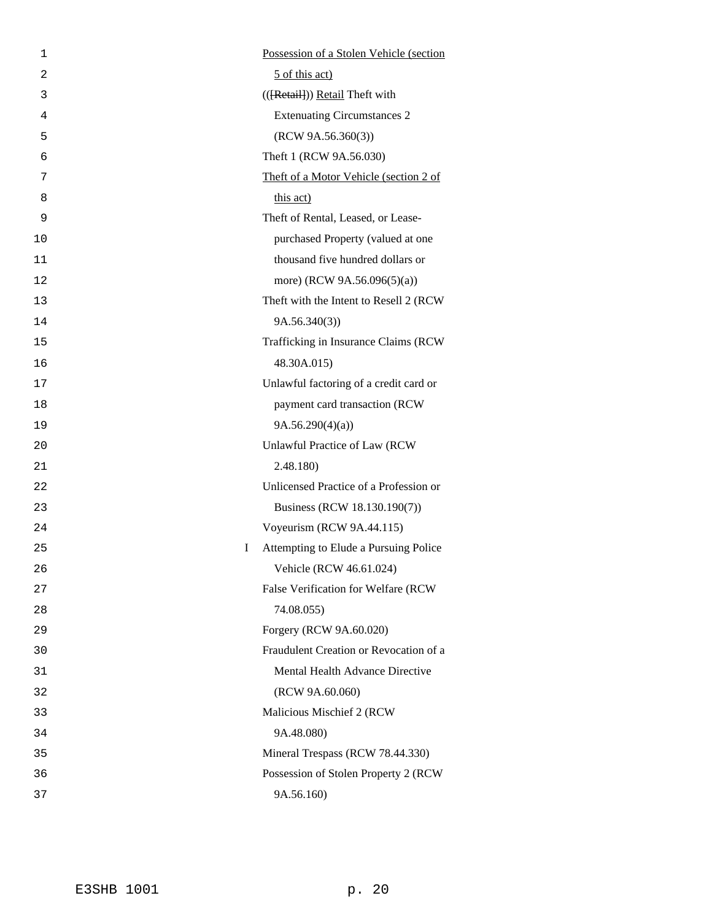| 1  | Possession of a Stolen Vehicle (section    |
|----|--------------------------------------------|
| 2  | 5 of this act)                             |
| 3  | (({Retail})) Retail Theft with             |
| 4  | <b>Extenuating Circumstances 2</b>         |
| 5  | (RCW 9A.56.360(3))                         |
| 6  | Theft 1 (RCW 9A.56.030)                    |
| 7  | Theft of a Motor Vehicle (section 2 of     |
| 8  | this act)                                  |
| 9  | Theft of Rental, Leased, or Lease-         |
| 10 | purchased Property (valued at one          |
| 11 | thousand five hundred dollars or           |
| 12 | more) (RCW 9A.56.096(5)(a))                |
| 13 | Theft with the Intent to Resell 2 (RCW)    |
| 14 | 9A.56.340(3)                               |
| 15 | Trafficking in Insurance Claims (RCW       |
| 16 | 48.30A.015)                                |
| 17 | Unlawful factoring of a credit card or     |
| 18 | payment card transaction (RCW              |
| 19 | 9A.56.290(4)(a)                            |
| 20 | Unlawful Practice of Law (RCW              |
| 21 | 2.48.180)                                  |
| 22 | Unlicensed Practice of a Profession or     |
| 23 | Business (RCW 18.130.190(7))               |
| 24 | Voyeurism (RCW 9A.44.115)                  |
| 25 | I<br>Attempting to Elude a Pursuing Police |
| 26 | Vehicle (RCW 46.61.024)                    |
| 27 | False Verification for Welfare (RCW        |
| 28 | 74.08.055)                                 |
| 29 | Forgery (RCW 9A.60.020)                    |
| 30 | Fraudulent Creation or Revocation of a     |
| 31 | Mental Health Advance Directive            |
| 32 | (RCW 9A.60.060)                            |
| 33 | Malicious Mischief 2 (RCW)                 |
| 34 | 9A.48.080)                                 |
| 35 | Mineral Trespass (RCW 78.44.330)           |
| 36 | Possession of Stolen Property 2 (RCW       |
| 37 | 9A.56.160)                                 |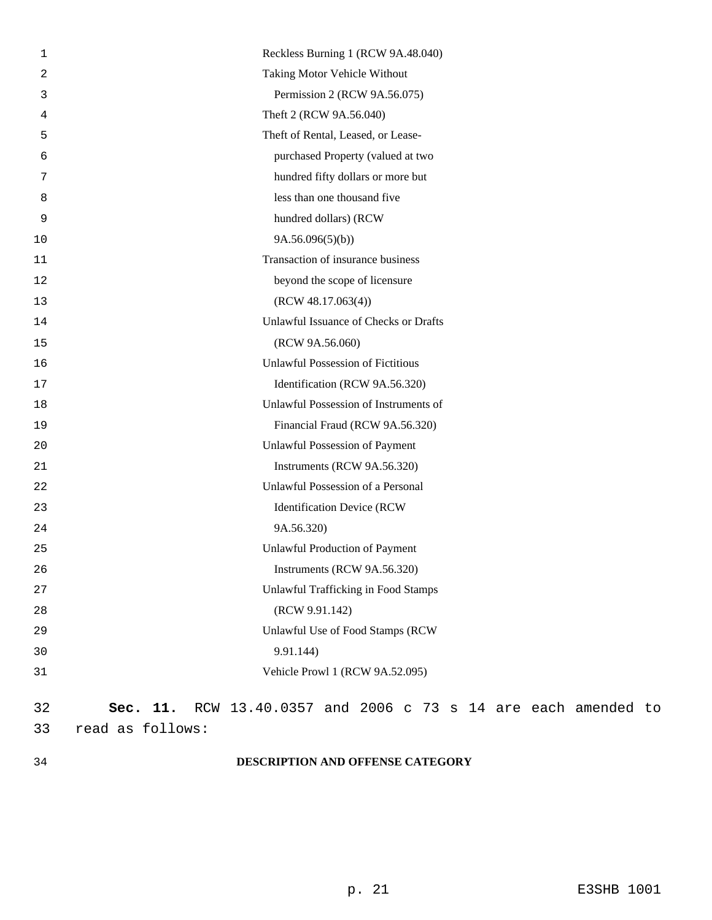| Taking Motor Vehicle Without<br>2<br>Permission 2 (RCW 9A.56.075)<br>3<br>Theft 2 (RCW 9A.56.040)<br>4<br>Theft of Rental, Leased, or Lease-<br>5<br>purchased Property (valued at two<br>6<br>hundred fifty dollars or more but<br>7<br>less than one thousand five<br>8 |  |
|---------------------------------------------------------------------------------------------------------------------------------------------------------------------------------------------------------------------------------------------------------------------------|--|
|                                                                                                                                                                                                                                                                           |  |
|                                                                                                                                                                                                                                                                           |  |
|                                                                                                                                                                                                                                                                           |  |
|                                                                                                                                                                                                                                                                           |  |
|                                                                                                                                                                                                                                                                           |  |
|                                                                                                                                                                                                                                                                           |  |
|                                                                                                                                                                                                                                                                           |  |
| hundred dollars) (RCW<br>9                                                                                                                                                                                                                                                |  |
| 9A.56.096(5)(b)<br>10                                                                                                                                                                                                                                                     |  |
| Transaction of insurance business<br>11                                                                                                                                                                                                                                   |  |
| beyond the scope of licensure<br>12                                                                                                                                                                                                                                       |  |
| (RCW 48.17.063(4))<br>13                                                                                                                                                                                                                                                  |  |
| Unlawful Issuance of Checks or Drafts<br>14                                                                                                                                                                                                                               |  |
| (RCW 9A.56.060)<br>15                                                                                                                                                                                                                                                     |  |
| <b>Unlawful Possession of Fictitious</b><br>16                                                                                                                                                                                                                            |  |
| Identification (RCW 9A.56.320)<br>17                                                                                                                                                                                                                                      |  |
| Unlawful Possession of Instruments of<br>18                                                                                                                                                                                                                               |  |
| Financial Fraud (RCW 9A.56.320)<br>19                                                                                                                                                                                                                                     |  |
| Unlawful Possession of Payment<br>20                                                                                                                                                                                                                                      |  |
| Instruments (RCW 9A.56.320)<br>21                                                                                                                                                                                                                                         |  |
| Unlawful Possession of a Personal<br>22                                                                                                                                                                                                                                   |  |
| <b>Identification Device (RCW</b><br>23                                                                                                                                                                                                                                   |  |
| 9A.56.320)<br>24                                                                                                                                                                                                                                                          |  |
| <b>Unlawful Production of Payment</b><br>25                                                                                                                                                                                                                               |  |
| 26<br>Instruments (RCW 9A.56.320)                                                                                                                                                                                                                                         |  |
| <b>Unlawful Trafficking in Food Stamps</b><br>27                                                                                                                                                                                                                          |  |
| (RCW 9.91.142)<br>28                                                                                                                                                                                                                                                      |  |
| Unlawful Use of Food Stamps (RCW<br>29                                                                                                                                                                                                                                    |  |
| 9.91.144)<br>30                                                                                                                                                                                                                                                           |  |
| Vehicle Prowl 1 (RCW 9A.52.095)<br>31                                                                                                                                                                                                                                     |  |
| RCW 13.40.0357 and 2006 c 73 s 14 are each amended to<br>32<br>Sec. 11.                                                                                                                                                                                                   |  |
| 33<br>read as follows:                                                                                                                                                                                                                                                    |  |

# 34 **DESCRIPTION AND OFFENSE CATEGORY**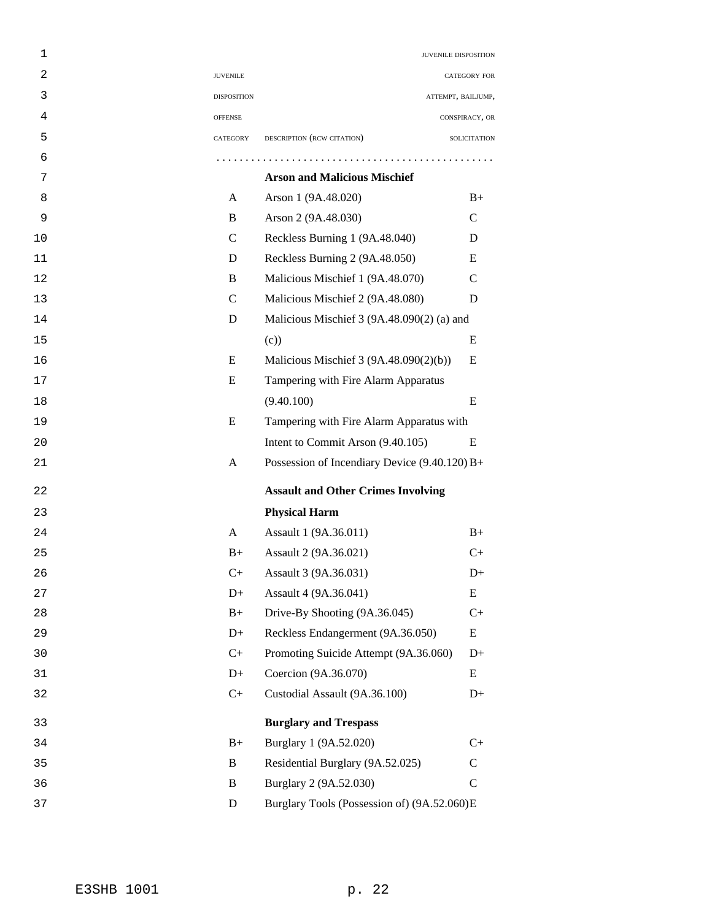| 1  |                    | JUVENILE DISPOSITION                            |                    |
|----|--------------------|-------------------------------------------------|--------------------|
| 2  | <b>JUVENILE</b>    |                                                 | CATEGORY FOR       |
| 3  | <b>DISPOSITION</b> |                                                 | ATTEMPT, BAILJUMP, |
| 4  | <b>OFFENSE</b>     |                                                 | CONSPIRACY, OR     |
| 5  | CATEGORY           | DESCRIPTION (RCW CITATION)                      | SOLICITATION       |
| 6  |                    |                                                 |                    |
| 7  |                    | <b>Arson and Malicious Mischief</b>             |                    |
| 8  | A                  | Arson 1 (9A.48.020)                             | $B+$               |
| 9  | B                  | Arson 2 (9A.48.030)                             | $\mathsf{C}$       |
| 10 | $\mathcal{C}$      | Reckless Burning 1 (9A.48.040)                  | D                  |
| 11 | D                  | Reckless Burning 2 (9A.48.050)                  | E                  |
| 12 | B                  | Malicious Mischief 1 (9A.48.070)                | C                  |
| 13 | $\mathcal{C}$      | Malicious Mischief 2 (9A.48.080)                | D                  |
| 14 | D                  | Malicious Mischief 3 (9A.48.090(2) (a) and      |                    |
| 15 |                    | (c)                                             | E                  |
| 16 | E                  | Malicious Mischief 3 (9A.48.090(2)(b))          | E                  |
| 17 | E                  | Tampering with Fire Alarm Apparatus             |                    |
| 18 |                    | (9.40.100)                                      | E                  |
| 19 | E                  | Tampering with Fire Alarm Apparatus with        |                    |
| 20 |                    | Intent to Commit Arson (9.40.105)               | E                  |
| 21 | A                  | Possession of Incendiary Device $(9.40.120) B+$ |                    |
| 22 |                    | <b>Assault and Other Crimes Involving</b>       |                    |
| 23 |                    | <b>Physical Harm</b>                            |                    |
| 24 | A                  | Assault 1 (9A.36.011)                           | $B+$               |
| 25 | $B+$               | Assault 2 (9A.36.021)                           | $C+$               |
| 26 | $C+$               | Assault 3 (9A.36.031)                           | $D+$               |
| 27 | $D+$               | Assault 4 (9A.36.041)                           | E                  |
| 28 | $B+$               | Drive-By Shooting (9A.36.045)                   | $C+$               |
| 29 | $D+$               | Reckless Endangerment (9A.36.050)               | E                  |
| 30 | $C+$               | Promoting Suicide Attempt (9A.36.060)           | $D+$               |
| 31 | $D+$               | Coercion (9A.36.070)                            | E                  |
| 32 | $C+$               | Custodial Assault (9A.36.100)                   | $D+$               |
| 33 |                    | <b>Burglary and Trespass</b>                    |                    |
| 34 | $B+$               | Burglary 1 (9A.52.020)                          | $C+$               |
| 35 | B                  | Residential Burglary (9A.52.025)                | $\mathbf C$        |
| 36 | B                  | Burglary 2 (9A.52.030)                          | $\mathcal{C}$      |
| 37 | $\mathbf D$        | Burglary Tools (Possession of) (9A.52.060)E     |                    |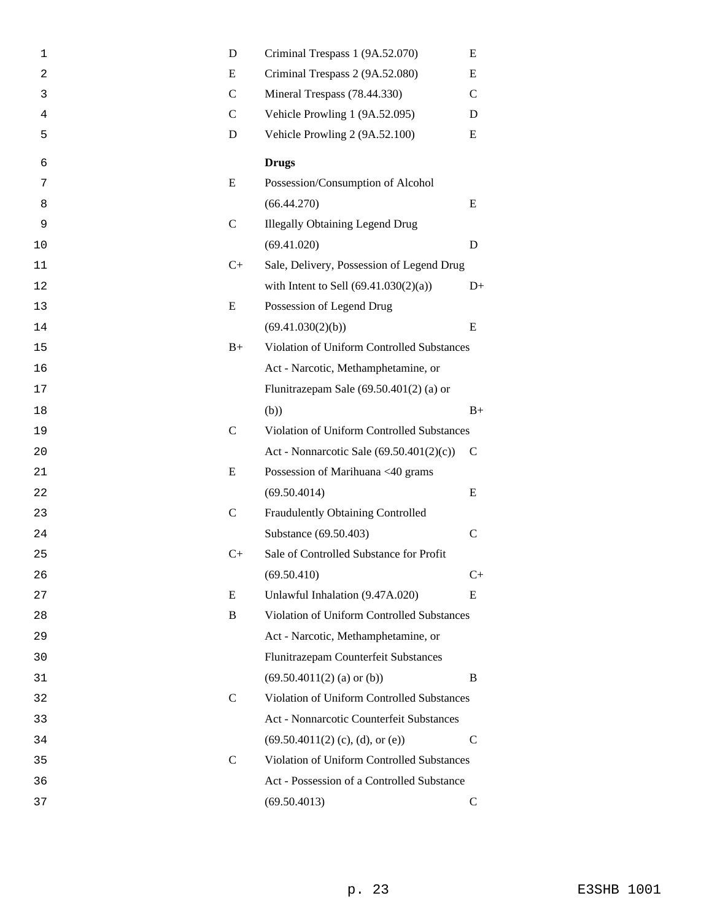| 1  | D             | Criminal Trespass 1 (9A.52.070)            | E             |
|----|---------------|--------------------------------------------|---------------|
| 2  | E             | Criminal Trespass 2 (9A.52.080)            |               |
| 3  | $\mathsf{C}$  | Mineral Trespass (78.44.330)               |               |
| 4  | $\mathcal{C}$ | Vehicle Prowling 1 (9A.52.095)             |               |
| 5  | D             | Vehicle Prowling 2 (9A.52.100)             | E             |
| 6  |               | <b>Drugs</b>                               |               |
| 7  | E             | Possession/Consumption of Alcohol          |               |
| 8  |               | (66.44.270)                                | E             |
| 9  | $\mathsf{C}$  | <b>Illegally Obtaining Legend Drug</b>     |               |
| 10 |               | (69.41.020)                                | D             |
| 11 | $C+$          | Sale, Delivery, Possession of Legend Drug  |               |
| 12 |               | with Intent to Sell $(69.41.030(2)(a))$    | $D+$          |
| 13 | E             | Possession of Legend Drug                  |               |
| 14 |               | (69.41.030(2)(b))                          | E             |
| 15 | $B+$          | Violation of Uniform Controlled Substances |               |
| 16 |               | Act - Narcotic, Methamphetamine, or        |               |
| 17 |               | Flunitrazepam Sale $(69.50.401(2)$ (a) or  |               |
| 18 |               | (b))                                       | $B+$          |
| 19 | $\mathsf{C}$  | Violation of Uniform Controlled Substances |               |
| 20 |               | Act - Nonnarcotic Sale (69.50.401(2)(c))   | $\mathsf{C}$  |
| 21 | E             | Possession of Marihuana <40 grams          |               |
| 22 |               | (69.50.4014)                               | E             |
| 23 | $\mathsf{C}$  | Fraudulently Obtaining Controlled          |               |
| 24 |               | Substance (69.50.403)                      | $\mathsf{C}$  |
| 25 | $C+$          | Sale of Controlled Substance for Profit    |               |
| 26 |               | (69.50.410)                                | $C+$          |
| 27 | E             | Unlawful Inhalation (9.47A.020)            | E             |
| 28 | B             | Violation of Uniform Controlled Substances |               |
| 29 |               | Act - Narcotic, Methamphetamine, or        |               |
| 30 |               | Flunitrazepam Counterfeit Substances       |               |
| 31 |               | $(69.50.4011(2)$ (a) or (b))               | B             |
| 32 | $\mathsf{C}$  | Violation of Uniform Controlled Substances |               |
| 33 |               | Act - Nonnarcotic Counterfeit Substances   |               |
| 34 |               | $(69.50.4011(2)$ (c), (d), or (e))         | $\mathcal{C}$ |
| 35 | $\mathcal{C}$ | Violation of Uniform Controlled Substances |               |
| 36 |               | Act - Possession of a Controlled Substance |               |
| 37 |               | (69.50.4013)                               | $\mathsf{C}$  |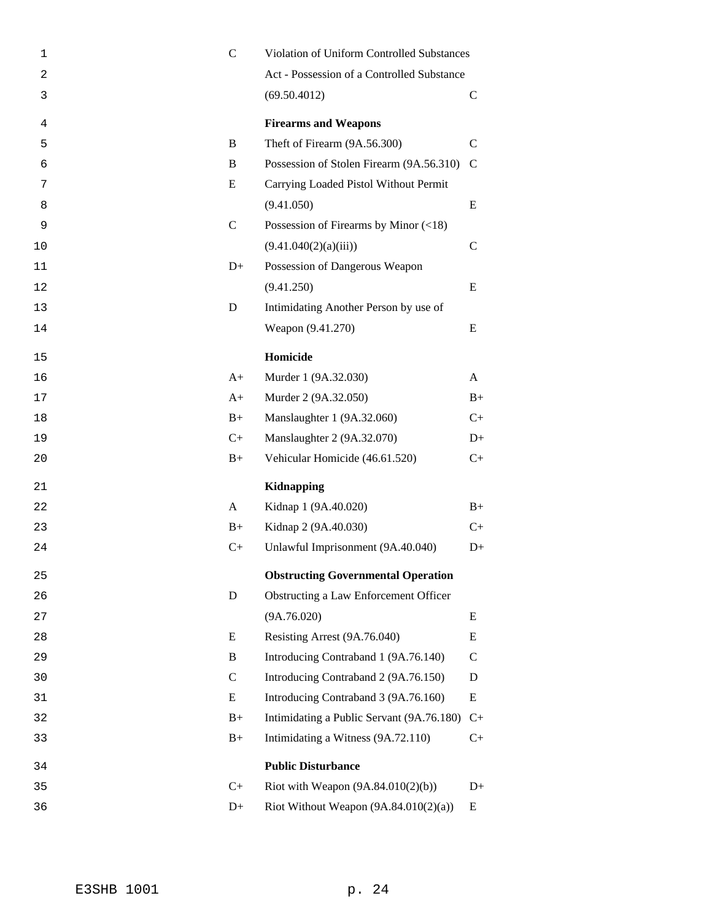| 1  | $\mathbf C$   | Violation of Uniform Controlled Substances  |               |
|----|---------------|---------------------------------------------|---------------|
| 2  |               | Act - Possession of a Controlled Substance  |               |
| 3  |               | (69.50.4012)                                | $\mathsf{C}$  |
| 4  |               | <b>Firearms and Weapons</b>                 |               |
| 5  | B             | Theft of Firearm (9A.56.300)                | $\mathcal{C}$ |
| 6  | B             | Possession of Stolen Firearm (9A.56.310)    | $\mathcal{C}$ |
| 7  | E             | Carrying Loaded Pistol Without Permit       |               |
| 8  |               | (9.41.050)                                  | E             |
| 9  | $\mathcal{C}$ | Possession of Firearms by Minor $(\leq 18)$ |               |
| 10 |               | (9.41.040(2)(a)(iii))                       | $\mathcal{C}$ |
| 11 | $D+$          | Possession of Dangerous Weapon              |               |
| 12 |               | (9.41.250)                                  | E             |
| 13 | D             | Intimidating Another Person by use of       |               |
| 14 |               | Weapon (9.41.270)                           | E             |
| 15 |               | Homicide                                    |               |
| 16 | $A+$          | Murder 1 (9A.32.030)                        | A             |
| 17 | $A+$          | Murder 2 (9A.32.050)                        | $B+$          |
| 18 | $B+$          | Manslaughter 1 (9A.32.060)                  | $C_{+}$       |
| 19 | $C+$          | Manslaughter 2 (9A.32.070)                  | $D+$          |
| 20 | $B+$          | Vehicular Homicide (46.61.520)              | $C+$          |
| 21 |               | <b>Kidnapping</b>                           |               |
| 22 | A             | Kidnap 1 (9A.40.020)                        | $B+$          |
| 23 | $B+$          | Kidnap 2 (9A.40.030)                        | $C+$          |
| 24 | $C+$          | Unlawful Imprisonment (9A.40.040)           | $D+$          |
| 25 |               | <b>Obstructing Governmental Operation</b>   |               |
| 26 | D             | Obstructing a Law Enforcement Officer       |               |
| 27 |               | (9A.76.020)                                 | E             |
| 28 | E             | Resisting Arrest (9A.76.040)                | Ε             |
| 29 | B             | Introducing Contraband 1 (9A.76.140)        | $\mathsf{C}$  |
| 30 | $\mathbf C$   | Introducing Contraband 2 (9A.76.150)        | D             |
| 31 | E             | Introducing Contraband 3 (9A.76.160)        | Ε             |
| 32 | $B+$          | Intimidating a Public Servant (9A.76.180)   | $C+$          |
| 33 | $B+$          | Intimidating a Witness (9A.72.110)          | $C+$          |
| 34 |               | <b>Public Disturbance</b>                   |               |
| 35 | $C+$          | Riot with Weapon $(9A.84.010(2)(b))$        | $D+$          |
| 36 | $D+$          | Riot Without Weapon $(9A.84.010(2)(a))$     | Ε             |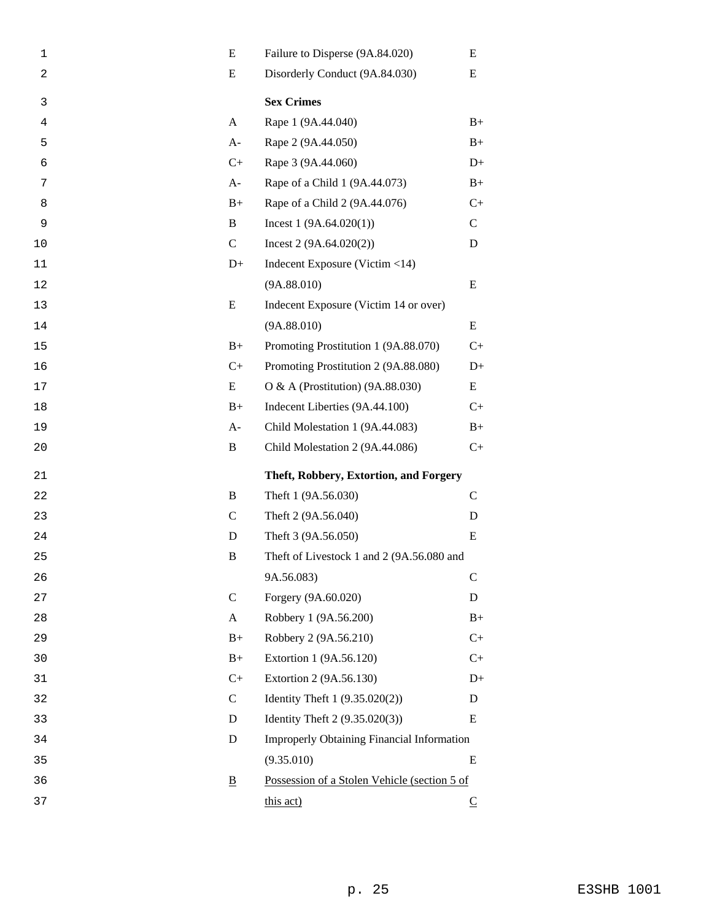| 1              | E                        | Failure to Disperse (9A.84.020)              | E            |
|----------------|--------------------------|----------------------------------------------|--------------|
| $\overline{c}$ | E                        | Disorderly Conduct (9A.84.030)<br>Ε          |              |
| 3              |                          | <b>Sex Crimes</b>                            |              |
| 4              | A                        | Rape 1 (9A.44.040)                           | $B+$         |
| 5              | $A-$                     | Rape 2 (9A.44.050)                           | $B+$         |
| 6              | $C+$                     | Rape 3 (9A.44.060)                           | $D+$         |
| 7              | $A-$                     | Rape of a Child 1 (9A.44.073)                | $B+$         |
| 8              | $B+$                     | Rape of a Child 2 (9A.44.076)                | $C+$         |
| 9              | B                        | Incest $1(9A.64.020(1))$                     | $\mathbf C$  |
| 10             | $\mathbf C$              | Incest $2(9A.64.020(2))$                     | D            |
| 11             | $D+$                     | Indecent Exposure (Victim <14)               |              |
| 12             |                          | (9A.88.010)                                  | E            |
| 13             | E                        | Indecent Exposure (Victim 14 or over)        |              |
| 14             |                          | (9A.88.010)                                  | E            |
| 15             | $B+$                     | Promoting Prostitution 1 (9A.88.070)         | $C+$         |
| 16             | $C+$                     | Promoting Prostitution 2 (9A.88.080)         | $D+$         |
| 17             | E                        | O & A (Prostitution) (9A.88.030)             | E            |
| 18             | $B+$                     | Indecent Liberties (9A.44.100)               | $C+$         |
| 19             | $A-$                     | Child Molestation 1 (9A.44.083)              | $B+$         |
|                |                          |                                              |              |
| 20             | B                        | Child Molestation 2 (9A.44.086)              | $C+$         |
| 21             |                          | Theft, Robbery, Extortion, and Forgery       |              |
| 22             | B                        | Theft 1 (9A.56.030)                          | $\mathsf{C}$ |
| 23             | $\mathsf{C}$             | Theft 2 (9A.56.040)                          | D            |
| 24             | D                        | Theft 3 (9A.56.050)                          | E            |
| 25             | B                        | Theft of Livestock 1 and 2 (9A.56.080 and    |              |
| 26             |                          | 9A.56.083)                                   | $\mathbf C$  |
| 27             | $\mathbf C$              | Forgery (9A.60.020)                          | D            |
| 28             | A                        | Robbery 1 (9A.56.200)                        | $B+$         |
| 29             | $B+$                     | Robbery 2 (9A.56.210)                        | $C+$         |
| 30             | $B+$                     | Extortion 1 (9A.56.120)                      | $C+$         |
| 31             | $C+$                     | Extortion 2 (9A.56.130)                      | $D+$         |
| 32             | $\mathbf C$              | Identity Theft 1 (9.35.020(2))               | D            |
| 33             | D                        | Identity Theft 2 (9.35.020(3))               | E            |
| 34             | D                        | Improperly Obtaining Financial Information   |              |
| 35             |                          | (9.35.010)                                   | E            |
| 36             | $\underline{\mathbf{B}}$ | Possession of a Stolen Vehicle (section 5 of |              |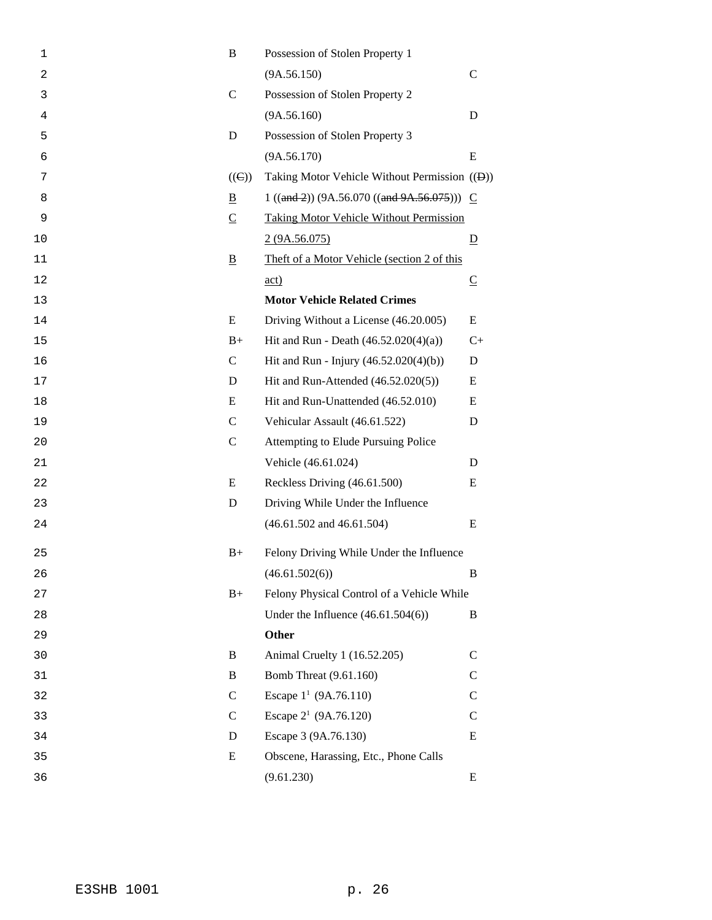| $\mathbf 1$ | B              | Possession of Stolen Property 1                            |                          |
|-------------|----------------|------------------------------------------------------------|--------------------------|
| 2           |                | (9A.56.150)                                                | $\mathcal{C}$            |
| 3           | $\mathsf{C}$   | Possession of Stolen Property 2                            |                          |
| 4           |                | (9A.56.160)                                                | D                        |
| 5           | D              | Possession of Stolen Property 3                            |                          |
| 6           |                | (9A.56.170)                                                | E                        |
| 7           | $((\Theta))$   | Taking Motor Vehicle Without Permission (( <del>D</del> )) |                          |
| 8           | B              | $1 ((and 2)) (9A.56.070 ((and 9A.56.075))) C$              |                          |
| 9           | $\overline{C}$ | <b>Taking Motor Vehicle Without Permission</b>             |                          |
| 10          |                | 2(9A.56.075)                                               | $\overline{D}$           |
| 11          | $\overline{B}$ | Theft of a Motor Vehicle (section 2 of this                |                          |
| 12          |                | $\underline{\text{act}}$                                   | $\underline{\mathsf{C}}$ |
| 13          |                | <b>Motor Vehicle Related Crimes</b>                        |                          |
| 14          | E              | Driving Without a License (46.20.005)                      | E                        |
| 15          | $B+$           | Hit and Run - Death $(46.52.020(4)(a))$                    | $C+$                     |
| 16          | $\mathsf{C}$   | Hit and Run - Injury (46.52.020(4)(b))                     | D                        |
| 17          | D              | Hit and Run-Attended (46.52.020(5))                        | E                        |
| 18          | E              | Hit and Run-Unattended (46.52.010)                         | E                        |
| 19          | $\mathcal{C}$  | Vehicular Assault (46.61.522)                              | D                        |
| 20          | $\mathsf{C}$   | Attempting to Elude Pursuing Police                        |                          |
| 21          |                | Vehicle (46.61.024)                                        | D                        |
| 22          | E              | Reckless Driving (46.61.500)                               | E                        |
| 23          | D              | Driving While Under the Influence                          |                          |
| 24          |                | $(46.61.502$ and $46.61.504)$                              | E                        |
| 25          | $B+$           | Felony Driving While Under the Influence                   |                          |
| 26          |                | (46.61.502(6))                                             | B                        |
| 27          | $B+$           | Felony Physical Control of a Vehicle While                 |                          |
| 28          |                | Under the Influence $(46.61.504(6))$                       | B                        |
| 29          |                | <b>Other</b>                                               |                          |
| 30          | B              | Animal Cruelty 1 (16.52.205)                               | $\mathcal{C}$            |
| 31          | B              | <b>Bomb Threat (9.61.160)</b>                              | $\mathcal{C}$            |
| 32          | $\mathsf{C}$   | Escape $1^1$ (9A.76.110)                                   | $\mathsf{C}$             |
| 33          | $\mathsf{C}$   | Escape $2^1$ (9A.76.120)                                   | $\mathcal{C}$            |
| 34          | D              | Escape 3 (9A.76.130)                                       | Ε                        |
| 35          | E              | Obscene, Harassing, Etc., Phone Calls                      |                          |
| 36          |                | (9.61.230)                                                 | Ε                        |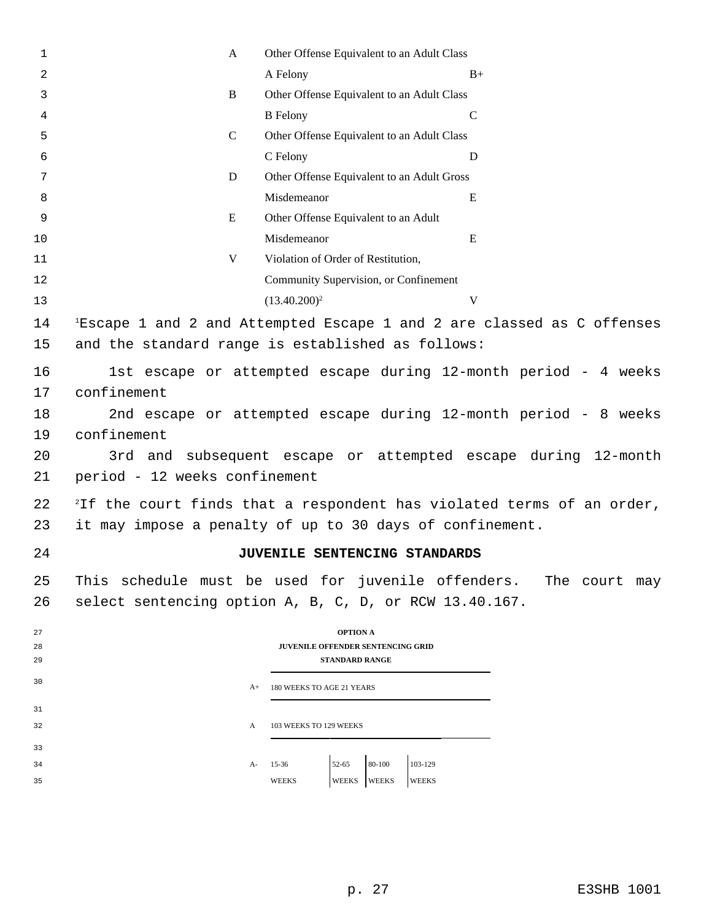| $\mathbf{1}$ | A                                                                                 | Other Offense Equivalent to an Adult Class                                         |             |  |  |  |
|--------------|-----------------------------------------------------------------------------------|------------------------------------------------------------------------------------|-------------|--|--|--|
| 2            |                                                                                   | A Felony                                                                           | $B+$        |  |  |  |
| 3            | B                                                                                 | Other Offense Equivalent to an Adult Class                                         |             |  |  |  |
| 4            |                                                                                   | <b>B</b> Felony                                                                    | $\mathbf C$ |  |  |  |
| 5            | $\mathcal{C}$                                                                     | Other Offense Equivalent to an Adult Class                                         |             |  |  |  |
| 6            |                                                                                   | C Felony                                                                           | D           |  |  |  |
| 7            | D                                                                                 | Other Offense Equivalent to an Adult Gross                                         |             |  |  |  |
| 8            |                                                                                   | Misdemeanor                                                                        | E           |  |  |  |
| 9            | E                                                                                 | Other Offense Equivalent to an Adult                                               |             |  |  |  |
| 10           |                                                                                   | Misdemeanor                                                                        | E           |  |  |  |
| 11           | V                                                                                 | Violation of Order of Restitution,                                                 |             |  |  |  |
| 12           |                                                                                   | Community Supervision, or Confinement                                              |             |  |  |  |
| 13           |                                                                                   | $(13.40.200)^2$                                                                    | V           |  |  |  |
| 14           |                                                                                   | <sup>1</sup> Escape 1 and 2 and Attempted Escape 1 and 2 are classed as C offenses |             |  |  |  |
| 15           |                                                                                   | and the standard range is established as follows:                                  |             |  |  |  |
|              |                                                                                   |                                                                                    |             |  |  |  |
| 16           |                                                                                   | 1st escape or attempted escape during 12-month period - 4 weeks                    |             |  |  |  |
| 17           | confinement                                                                       |                                                                                    |             |  |  |  |
| 18           | 2nd escape or attempted escape during 12-month period - 8 weeks                   |                                                                                    |             |  |  |  |
| 19           | confinement                                                                       |                                                                                    |             |  |  |  |
| 20           | 3rd and subsequent escape or attempted escape during 12-month                     |                                                                                    |             |  |  |  |
| 21           | period - 12 weeks confinement                                                     |                                                                                    |             |  |  |  |
| 22           | <sup>2</sup> If the court finds that a respondent has violated terms of an order, |                                                                                    |             |  |  |  |
| 23           | it may impose a penalty of up to 30 days of confinement.                          |                                                                                    |             |  |  |  |
| 24           |                                                                                   | JUVENILE SENTENCING STANDARDS                                                      |             |  |  |  |
|              |                                                                                   |                                                                                    |             |  |  |  |
| 25           |                                                                                   | This schedule must be used for juvenile offenders. The court may                   |             |  |  |  |
| 26           |                                                                                   | select sentencing option A, B, C, D, or RCW 13.40.167.                             |             |  |  |  |
| 27           |                                                                                   | <b>OPTION A</b>                                                                    |             |  |  |  |
| 28           |                                                                                   | <b>JUVENILE OFFENDER SENTENCING GRID</b>                                           |             |  |  |  |
| 29           |                                                                                   | <b>STANDARD RANGE</b>                                                              |             |  |  |  |
| 30           | $A+$                                                                              | 180 WEEKS TO AGE 21 YEARS                                                          |             |  |  |  |
| 31           |                                                                                   |                                                                                    |             |  |  |  |
| 32           | A                                                                                 | 103 WEEKS TO 129 WEEKS                                                             |             |  |  |  |
| 33           |                                                                                   |                                                                                    |             |  |  |  |
| 34           | A-                                                                                | $52 - 65$<br>80-100<br>103-129<br>$15 - 36$                                        |             |  |  |  |
| 35           |                                                                                   | <b>WEEKS</b><br><b>WEEKS</b><br><b>WEEKS</b><br>WEEKS                              |             |  |  |  |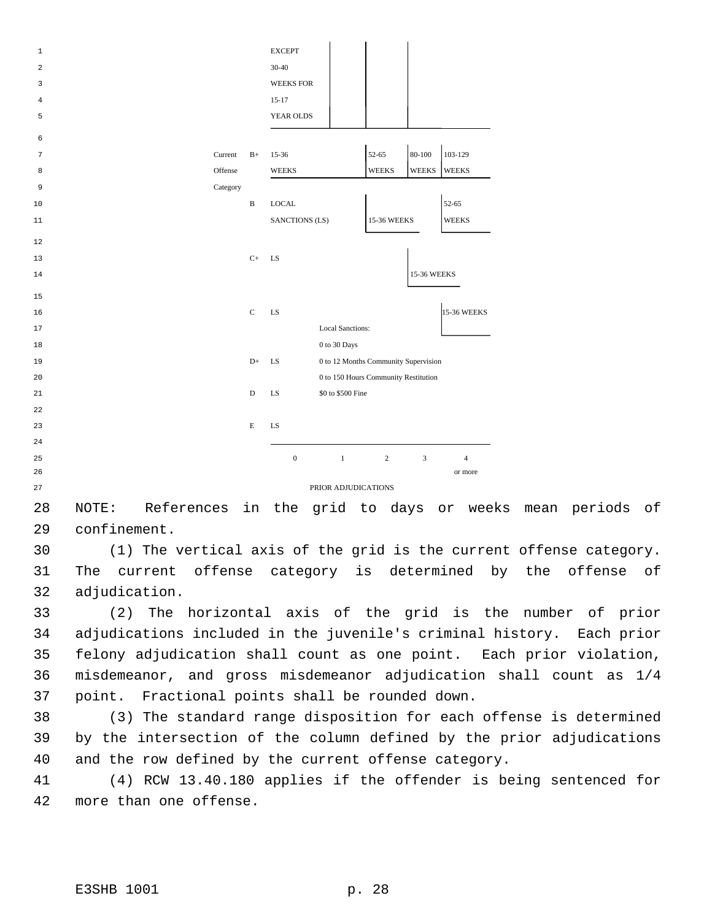| 1  |          |              | <b>EXCEPT</b>                              |                |              |                    |
|----|----------|--------------|--------------------------------------------|----------------|--------------|--------------------|
| 2  |          |              | $30 - 40$                                  |                |              |                    |
| 3  |          |              | <b>WEEKS FOR</b>                           |                |              |                    |
| 4  |          |              | $15-17$                                    |                |              |                    |
| 5  |          |              | YEAR OLDS                                  |                |              |                    |
|    |          |              |                                            |                |              |                    |
| 6  |          |              |                                            |                |              |                    |
| 7  | Current  | $B+$         | 15-36                                      | 52-65          | $80 - 100$   | 103-129            |
| 8  | Offense  |              | <b>WEEKS</b>                               | <b>WEEKS</b>   | <b>WEEKS</b> | <b>WEEKS</b>       |
| 9  | Category |              |                                            |                |              |                    |
| 10 |          | $\, {\bf B}$ | <b>LOCAL</b>                               |                |              | 52-65              |
| 11 |          |              | SANCTIONS (LS)                             | 15-36 WEEKS    |              | <b>WEEKS</b>       |
| 12 |          |              |                                            |                |              |                    |
| 13 |          | $C+$         | LS                                         |                |              |                    |
| 14 |          |              |                                            |                | 15-36 WEEKS  |                    |
|    |          |              |                                            |                |              |                    |
| 15 |          |              |                                            |                |              |                    |
| 16 |          | $\mathbf C$  | LS                                         |                |              | <b>15-36 WEEKS</b> |
| 17 |          |              | <b>Local Sanctions:</b>                    |                |              |                    |
| 18 |          |              | 0 to 30 Days                               |                |              |                    |
| 19 |          | $D+$         | 0 to 12 Months Community Supervision<br>LS |                |              |                    |
| 20 |          |              | 0 to 150 Hours Community Restitution       |                |              |                    |
| 21 |          | D            | \$0 to \$500 Fine<br>LS                    |                |              |                    |
| 22 |          |              |                                            |                |              |                    |
| 23 |          | E            | LS                                         |                |              |                    |
| 24 |          |              |                                            |                |              |                    |
| 25 |          |              | $\boldsymbol{0}$<br>$1\,$                  | $\overline{2}$ | 3            | $\overline{4}$     |
| 26 |          |              |                                            |                |              | or more            |
| 27 |          |              | PRIOR ADJUDICATIONS                        |                |              |                    |

 NOTE: References in the grid to days or weeks mean periods of confinement.

 (1) The vertical axis of the grid is the current offense category. The current offense category is determined by the offense of adjudication.

 (2) The horizontal axis of the grid is the number of prior adjudications included in the juvenile's criminal history. Each prior felony adjudication shall count as one point. Each prior violation, misdemeanor, and gross misdemeanor adjudication shall count as 1/4 point. Fractional points shall be rounded down.

 (3) The standard range disposition for each offense is determined by the intersection of the column defined by the prior adjudications and the row defined by the current offense category.

 (4) RCW 13.40.180 applies if the offender is being sentenced for more than one offense.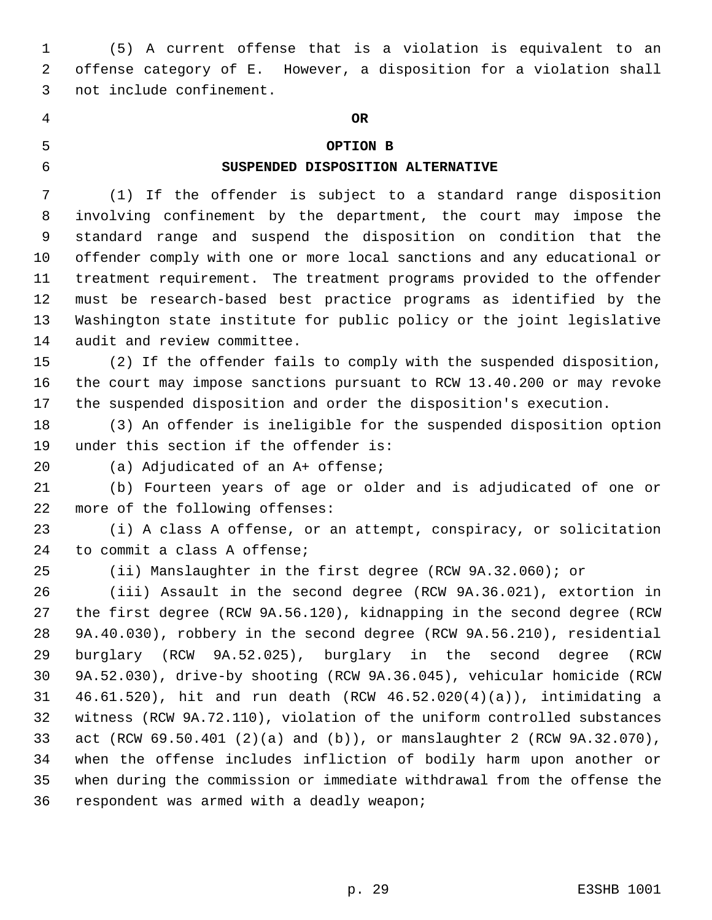(5) A current offense that is a violation is equivalent to an offense category of E. However, a disposition for a violation shall not include confinement.

## **OR**

## **OPTION B**

#### **SUSPENDED DISPOSITION ALTERNATIVE**

(1) If the offender is subject to a standard range disposition

 involving confinement by the department, the court may impose the standard range and suspend the disposition on condition that the offender comply with one or more local sanctions and any educational or treatment requirement. The treatment programs provided to the offender must be research-based best practice programs as identified by the Washington state institute for public policy or the joint legislative audit and review committee.

 (2) If the offender fails to comply with the suspended disposition, the court may impose sanctions pursuant to RCW 13.40.200 or may revoke the suspended disposition and order the disposition's execution.

 (3) An offender is ineligible for the suspended disposition option under this section if the offender is:

(a) Adjudicated of an A+ offense;

 (b) Fourteen years of age or older and is adjudicated of one or more of the following offenses:

 (i) A class A offense, or an attempt, conspiracy, or solicitation to commit a class A offense;

(ii) Manslaughter in the first degree (RCW 9A.32.060); or

 (iii) Assault in the second degree (RCW 9A.36.021), extortion in the first degree (RCW 9A.56.120), kidnapping in the second degree (RCW 9A.40.030), robbery in the second degree (RCW 9A.56.210), residential burglary (RCW 9A.52.025), burglary in the second degree (RCW 9A.52.030), drive-by shooting (RCW 9A.36.045), vehicular homicide (RCW 46.61.520), hit and run death (RCW 46.52.020(4)(a)), intimidating a witness (RCW 9A.72.110), violation of the uniform controlled substances act (RCW 69.50.401 (2)(a) and (b)), or manslaughter 2 (RCW 9A.32.070), when the offense includes infliction of bodily harm upon another or when during the commission or immediate withdrawal from the offense the respondent was armed with a deadly weapon;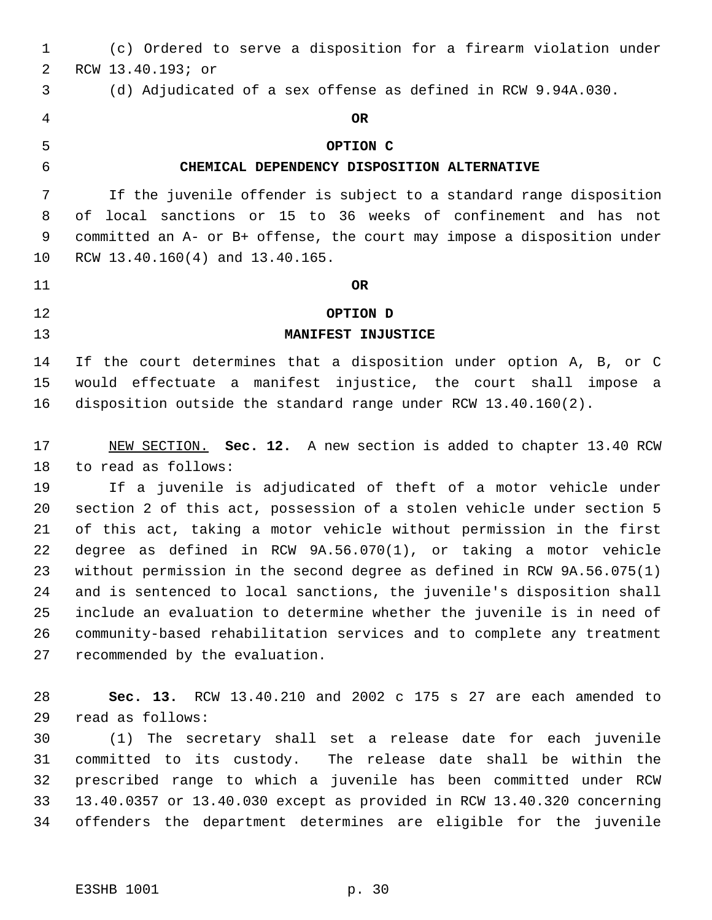(c) Ordered to serve a disposition for a firearm violation under RCW 13.40.193; or (d) Adjudicated of a sex offense as defined in RCW 9.94A.030. **OR OPTION C CHEMICAL DEPENDENCY DISPOSITION ALTERNATIVE** If the juvenile offender is subject to a standard range disposition of local sanctions or 15 to 36 weeks of confinement and has not committed an A- or B+ offense, the court may impose a disposition under RCW 13.40.160(4) and 13.40.165. **OR OPTION D MANIFEST INJUSTICE** If the court determines that a disposition under option A, B, or C would effectuate a manifest injustice, the court shall impose a disposition outside the standard range under RCW 13.40.160(2). NEW SECTION. **Sec. 12.** A new section is added to chapter 13.40 RCW to read as follows: If a juvenile is adjudicated of theft of a motor vehicle under section 2 of this act, possession of a stolen vehicle under section 5 of this act, taking a motor vehicle without permission in the first degree as defined in RCW 9A.56.070(1), or taking a motor vehicle without permission in the second degree as defined in RCW 9A.56.075(1) and is sentenced to local sanctions, the juvenile's disposition shall include an evaluation to determine whether the juvenile is in need of community-based rehabilitation services and to complete any treatment recommended by the evaluation. **Sec. 13.** RCW 13.40.210 and 2002 c 175 s 27 are each amended to read as follows: (1) The secretary shall set a release date for each juvenile committed to its custody. The release date shall be within the prescribed range to which a juvenile has been committed under RCW 13.40.0357 or 13.40.030 except as provided in RCW 13.40.320 concerning offenders the department determines are eligible for the juvenile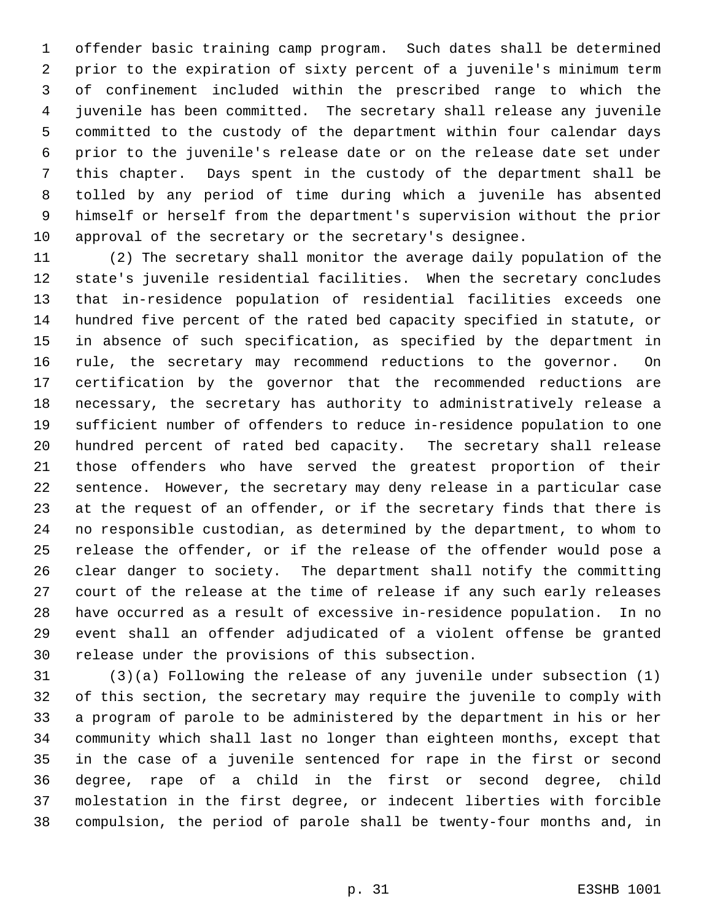offender basic training camp program. Such dates shall be determined prior to the expiration of sixty percent of a juvenile's minimum term of confinement included within the prescribed range to which the juvenile has been committed. The secretary shall release any juvenile committed to the custody of the department within four calendar days prior to the juvenile's release date or on the release date set under this chapter. Days spent in the custody of the department shall be tolled by any period of time during which a juvenile has absented himself or herself from the department's supervision without the prior approval of the secretary or the secretary's designee.

 (2) The secretary shall monitor the average daily population of the state's juvenile residential facilities. When the secretary concludes that in-residence population of residential facilities exceeds one hundred five percent of the rated bed capacity specified in statute, or in absence of such specification, as specified by the department in rule, the secretary may recommend reductions to the governor. On certification by the governor that the recommended reductions are necessary, the secretary has authority to administratively release a sufficient number of offenders to reduce in-residence population to one hundred percent of rated bed capacity. The secretary shall release those offenders who have served the greatest proportion of their sentence. However, the secretary may deny release in a particular case at the request of an offender, or if the secretary finds that there is no responsible custodian, as determined by the department, to whom to release the offender, or if the release of the offender would pose a clear danger to society. The department shall notify the committing court of the release at the time of release if any such early releases have occurred as a result of excessive in-residence population. In no event shall an offender adjudicated of a violent offense be granted release under the provisions of this subsection.

 (3)(a) Following the release of any juvenile under subsection (1) of this section, the secretary may require the juvenile to comply with a program of parole to be administered by the department in his or her community which shall last no longer than eighteen months, except that in the case of a juvenile sentenced for rape in the first or second degree, rape of a child in the first or second degree, child molestation in the first degree, or indecent liberties with forcible compulsion, the period of parole shall be twenty-four months and, in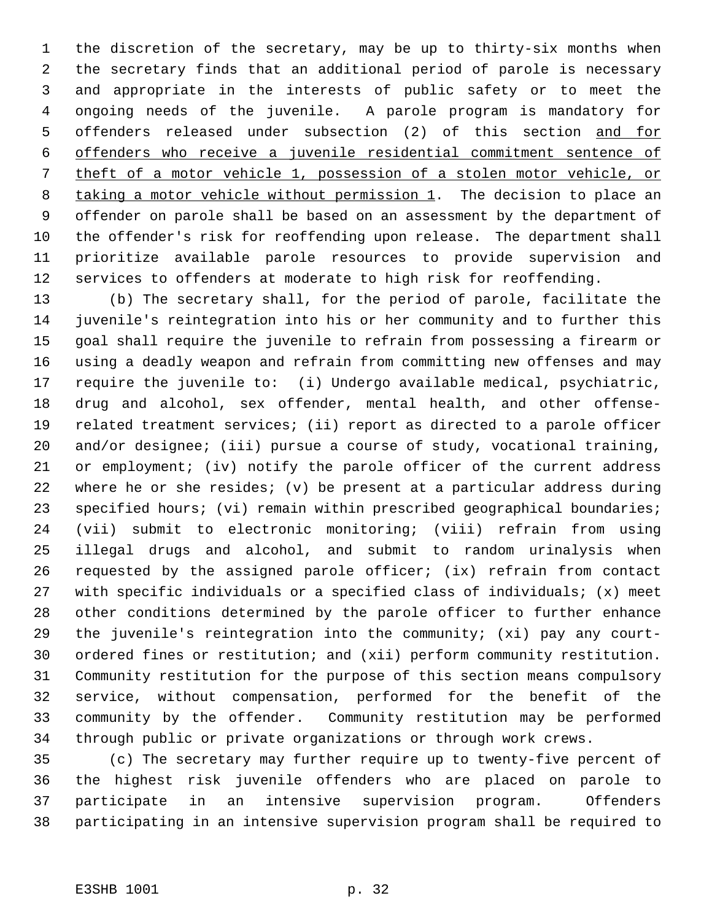the discretion of the secretary, may be up to thirty-six months when the secretary finds that an additional period of parole is necessary and appropriate in the interests of public safety or to meet the ongoing needs of the juvenile. A parole program is mandatory for offenders released under subsection (2) of this section and for offenders who receive a juvenile residential commitment sentence of theft of a motor vehicle 1, possession of a stolen motor vehicle, or 8 taking a motor vehicle without permission 1. The decision to place an offender on parole shall be based on an assessment by the department of the offender's risk for reoffending upon release. The department shall prioritize available parole resources to provide supervision and services to offenders at moderate to high risk for reoffending.

 (b) The secretary shall, for the period of parole, facilitate the juvenile's reintegration into his or her community and to further this goal shall require the juvenile to refrain from possessing a firearm or using a deadly weapon and refrain from committing new offenses and may require the juvenile to: (i) Undergo available medical, psychiatric, drug and alcohol, sex offender, mental health, and other offense- related treatment services; (ii) report as directed to a parole officer and/or designee; (iii) pursue a course of study, vocational training, or employment; (iv) notify the parole officer of the current address where he or she resides; (v) be present at a particular address during 23 specified hours; (vi) remain within prescribed geographical boundaries; (vii) submit to electronic monitoring; (viii) refrain from using illegal drugs and alcohol, and submit to random urinalysis when requested by the assigned parole officer; (ix) refrain from contact with specific individuals or a specified class of individuals; (x) meet other conditions determined by the parole officer to further enhance the juvenile's reintegration into the community; (xi) pay any court- ordered fines or restitution; and (xii) perform community restitution. Community restitution for the purpose of this section means compulsory service, without compensation, performed for the benefit of the community by the offender. Community restitution may be performed through public or private organizations or through work crews.

 (c) The secretary may further require up to twenty-five percent of the highest risk juvenile offenders who are placed on parole to participate in an intensive supervision program. Offenders participating in an intensive supervision program shall be required to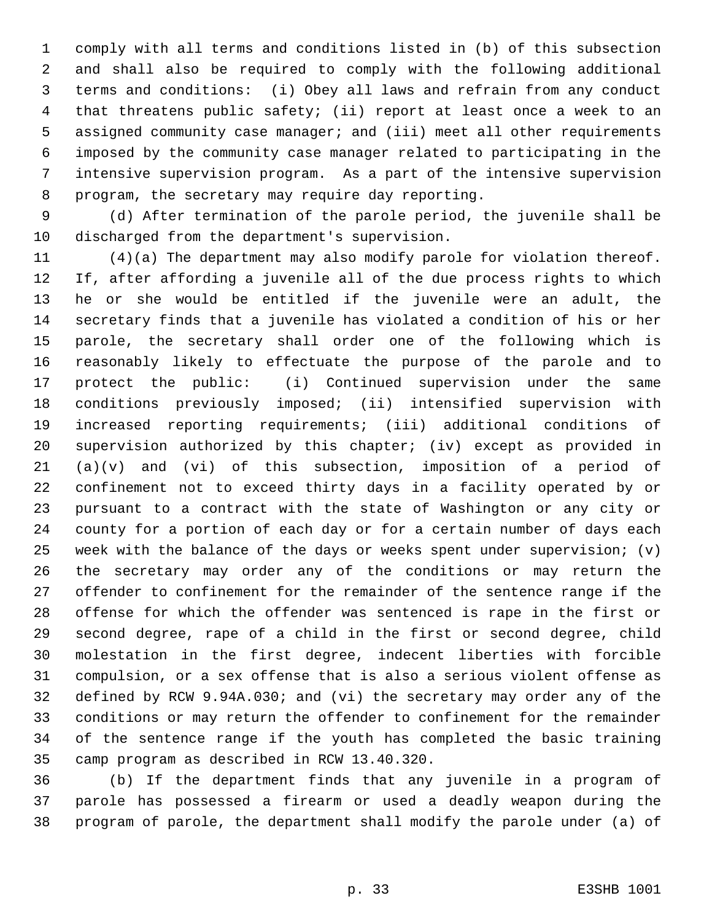comply with all terms and conditions listed in (b) of this subsection and shall also be required to comply with the following additional terms and conditions: (i) Obey all laws and refrain from any conduct that threatens public safety; (ii) report at least once a week to an assigned community case manager; and (iii) meet all other requirements imposed by the community case manager related to participating in the intensive supervision program. As a part of the intensive supervision program, the secretary may require day reporting.

 (d) After termination of the parole period, the juvenile shall be discharged from the department's supervision.

 (4)(a) The department may also modify parole for violation thereof. If, after affording a juvenile all of the due process rights to which he or she would be entitled if the juvenile were an adult, the secretary finds that a juvenile has violated a condition of his or her parole, the secretary shall order one of the following which is reasonably likely to effectuate the purpose of the parole and to protect the public: (i) Continued supervision under the same conditions previously imposed; (ii) intensified supervision with increased reporting requirements; (iii) additional conditions of supervision authorized by this chapter; (iv) except as provided in (a)(v) and (vi) of this subsection, imposition of a period of confinement not to exceed thirty days in a facility operated by or pursuant to a contract with the state of Washington or any city or county for a portion of each day or for a certain number of days each week with the balance of the days or weeks spent under supervision; (v) the secretary may order any of the conditions or may return the offender to confinement for the remainder of the sentence range if the offense for which the offender was sentenced is rape in the first or second degree, rape of a child in the first or second degree, child molestation in the first degree, indecent liberties with forcible compulsion, or a sex offense that is also a serious violent offense as defined by RCW 9.94A.030; and (vi) the secretary may order any of the conditions or may return the offender to confinement for the remainder of the sentence range if the youth has completed the basic training camp program as described in RCW 13.40.320.

 (b) If the department finds that any juvenile in a program of parole has possessed a firearm or used a deadly weapon during the program of parole, the department shall modify the parole under (a) of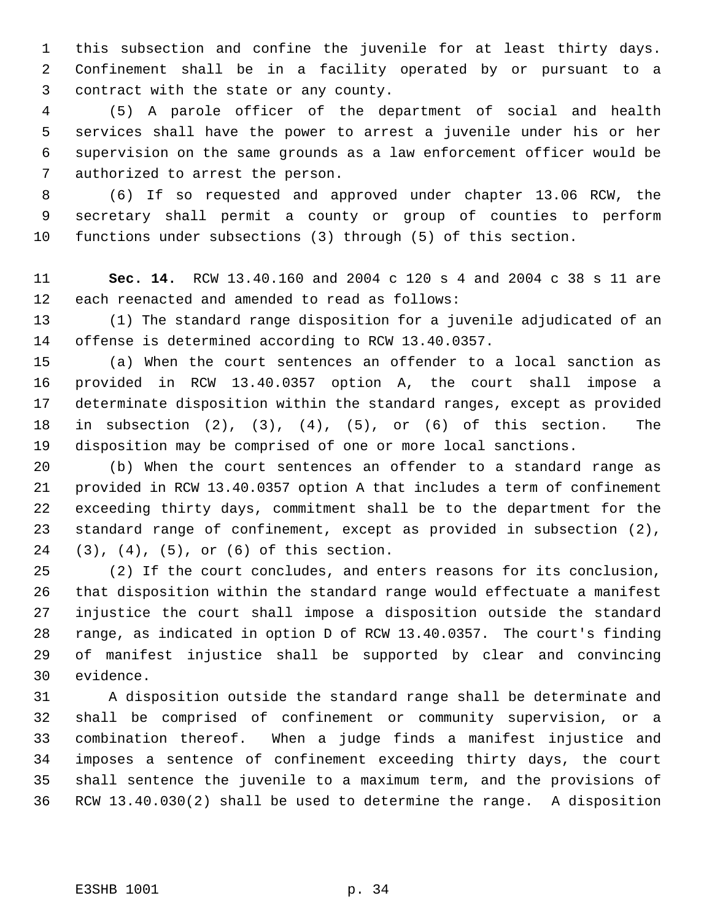this subsection and confine the juvenile for at least thirty days. Confinement shall be in a facility operated by or pursuant to a contract with the state or any county.

 (5) A parole officer of the department of social and health services shall have the power to arrest a juvenile under his or her supervision on the same grounds as a law enforcement officer would be authorized to arrest the person.

 (6) If so requested and approved under chapter 13.06 RCW, the secretary shall permit a county or group of counties to perform functions under subsections (3) through (5) of this section.

 **Sec. 14.** RCW 13.40.160 and 2004 c 120 s 4 and 2004 c 38 s 11 are each reenacted and amended to read as follows:

 (1) The standard range disposition for a juvenile adjudicated of an offense is determined according to RCW 13.40.0357.

 (a) When the court sentences an offender to a local sanction as provided in RCW 13.40.0357 option A, the court shall impose a determinate disposition within the standard ranges, except as provided in subsection (2), (3), (4), (5), or (6) of this section. The disposition may be comprised of one or more local sanctions.

 (b) When the court sentences an offender to a standard range as provided in RCW 13.40.0357 option A that includes a term of confinement exceeding thirty days, commitment shall be to the department for the standard range of confinement, except as provided in subsection (2), (3), (4), (5), or (6) of this section.

 (2) If the court concludes, and enters reasons for its conclusion, that disposition within the standard range would effectuate a manifest injustice the court shall impose a disposition outside the standard range, as indicated in option D of RCW 13.40.0357. The court's finding of manifest injustice shall be supported by clear and convincing evidence.

 A disposition outside the standard range shall be determinate and shall be comprised of confinement or community supervision, or a combination thereof. When a judge finds a manifest injustice and imposes a sentence of confinement exceeding thirty days, the court shall sentence the juvenile to a maximum term, and the provisions of RCW 13.40.030(2) shall be used to determine the range. A disposition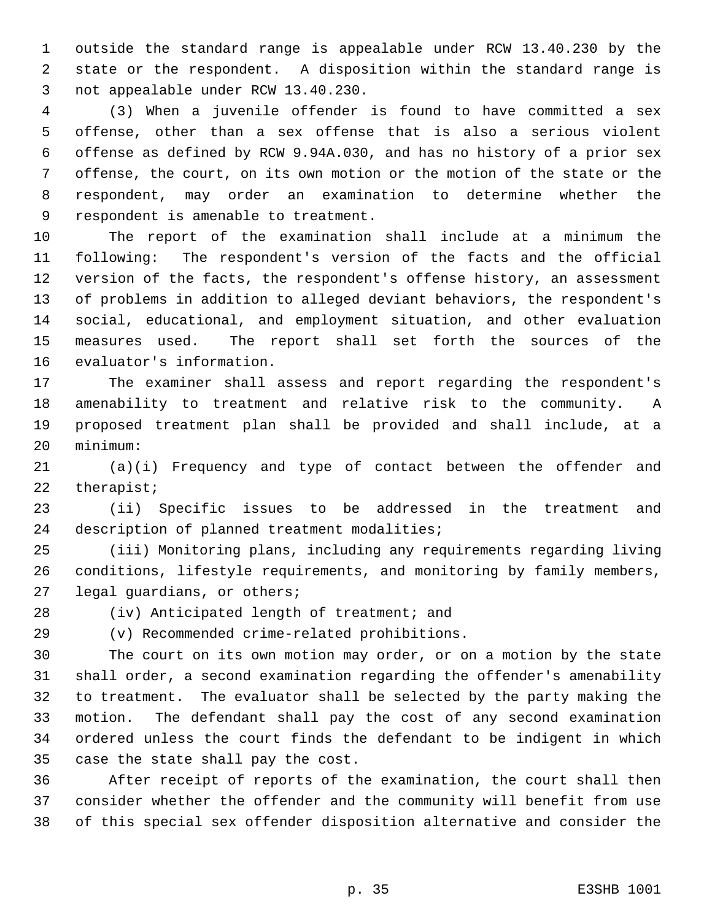outside the standard range is appealable under RCW 13.40.230 by the state or the respondent. A disposition within the standard range is not appealable under RCW 13.40.230.

 (3) When a juvenile offender is found to have committed a sex offense, other than a sex offense that is also a serious violent offense as defined by RCW 9.94A.030, and has no history of a prior sex offense, the court, on its own motion or the motion of the state or the respondent, may order an examination to determine whether the respondent is amenable to treatment.

 The report of the examination shall include at a minimum the following: The respondent's version of the facts and the official version of the facts, the respondent's offense history, an assessment of problems in addition to alleged deviant behaviors, the respondent's social, educational, and employment situation, and other evaluation measures used. The report shall set forth the sources of the evaluator's information.

 The examiner shall assess and report regarding the respondent's amenability to treatment and relative risk to the community. A proposed treatment plan shall be provided and shall include, at a minimum:

 (a)(i) Frequency and type of contact between the offender and therapist;

 (ii) Specific issues to be addressed in the treatment and description of planned treatment modalities;

 (iii) Monitoring plans, including any requirements regarding living conditions, lifestyle requirements, and monitoring by family members, legal guardians, or others;

(iv) Anticipated length of treatment; and

(v) Recommended crime-related prohibitions.

 The court on its own motion may order, or on a motion by the state shall order, a second examination regarding the offender's amenability to treatment. The evaluator shall be selected by the party making the motion. The defendant shall pay the cost of any second examination ordered unless the court finds the defendant to be indigent in which case the state shall pay the cost.

 After receipt of reports of the examination, the court shall then consider whether the offender and the community will benefit from use of this special sex offender disposition alternative and consider the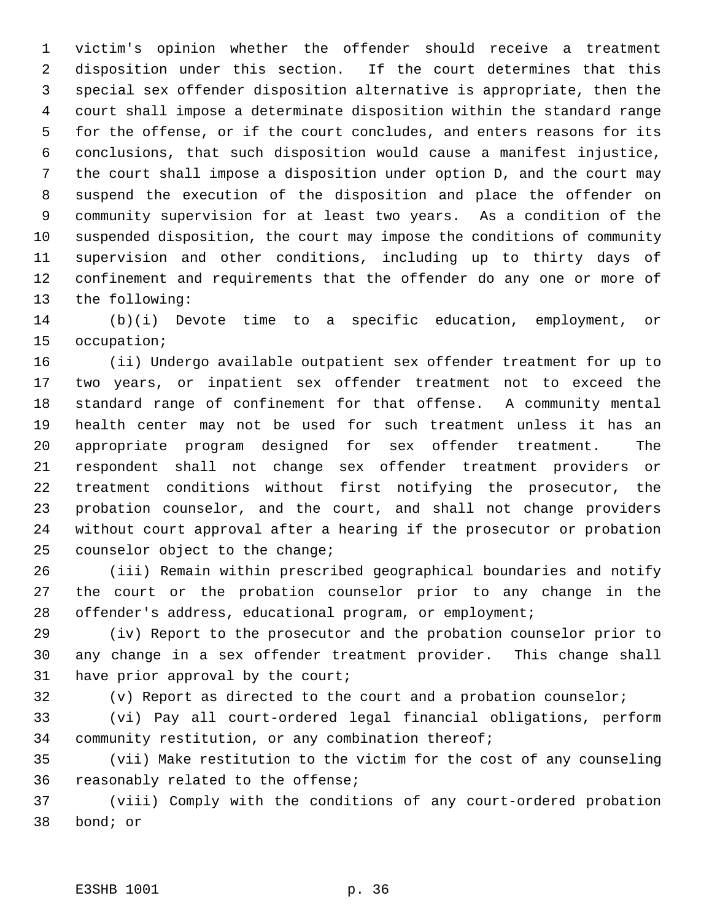victim's opinion whether the offender should receive a treatment disposition under this section. If the court determines that this special sex offender disposition alternative is appropriate, then the court shall impose a determinate disposition within the standard range for the offense, or if the court concludes, and enters reasons for its conclusions, that such disposition would cause a manifest injustice, the court shall impose a disposition under option D, and the court may suspend the execution of the disposition and place the offender on community supervision for at least two years. As a condition of the suspended disposition, the court may impose the conditions of community supervision and other conditions, including up to thirty days of confinement and requirements that the offender do any one or more of the following:

 (b)(i) Devote time to a specific education, employment, or occupation;

 (ii) Undergo available outpatient sex offender treatment for up to two years, or inpatient sex offender treatment not to exceed the standard range of confinement for that offense. A community mental health center may not be used for such treatment unless it has an appropriate program designed for sex offender treatment. The respondent shall not change sex offender treatment providers or treatment conditions without first notifying the prosecutor, the probation counselor, and the court, and shall not change providers without court approval after a hearing if the prosecutor or probation counselor object to the change;

 (iii) Remain within prescribed geographical boundaries and notify the court or the probation counselor prior to any change in the offender's address, educational program, or employment;

 (iv) Report to the prosecutor and the probation counselor prior to any change in a sex offender treatment provider. This change shall have prior approval by the court;

(v) Report as directed to the court and a probation counselor;

 (vi) Pay all court-ordered legal financial obligations, perform community restitution, or any combination thereof;

 (vii) Make restitution to the victim for the cost of any counseling reasonably related to the offense;

 (viii) Comply with the conditions of any court-ordered probation bond; or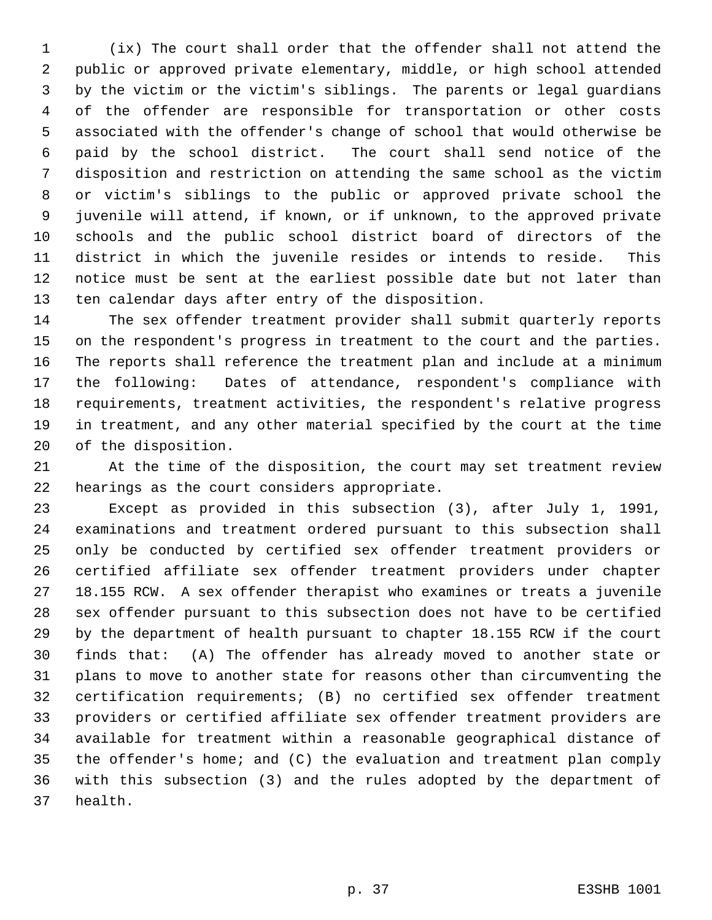(ix) The court shall order that the offender shall not attend the public or approved private elementary, middle, or high school attended by the victim or the victim's siblings. The parents or legal guardians of the offender are responsible for transportation or other costs associated with the offender's change of school that would otherwise be paid by the school district. The court shall send notice of the disposition and restriction on attending the same school as the victim or victim's siblings to the public or approved private school the juvenile will attend, if known, or if unknown, to the approved private schools and the public school district board of directors of the district in which the juvenile resides or intends to reside. This notice must be sent at the earliest possible date but not later than ten calendar days after entry of the disposition.

 The sex offender treatment provider shall submit quarterly reports on the respondent's progress in treatment to the court and the parties. The reports shall reference the treatment plan and include at a minimum the following: Dates of attendance, respondent's compliance with requirements, treatment activities, the respondent's relative progress in treatment, and any other material specified by the court at the time of the disposition.

 At the time of the disposition, the court may set treatment review hearings as the court considers appropriate.

 Except as provided in this subsection (3), after July 1, 1991, examinations and treatment ordered pursuant to this subsection shall only be conducted by certified sex offender treatment providers or certified affiliate sex offender treatment providers under chapter 18.155 RCW. A sex offender therapist who examines or treats a juvenile sex offender pursuant to this subsection does not have to be certified by the department of health pursuant to chapter 18.155 RCW if the court finds that: (A) The offender has already moved to another state or plans to move to another state for reasons other than circumventing the certification requirements; (B) no certified sex offender treatment providers or certified affiliate sex offender treatment providers are available for treatment within a reasonable geographical distance of the offender's home; and (C) the evaluation and treatment plan comply with this subsection (3) and the rules adopted by the department of health.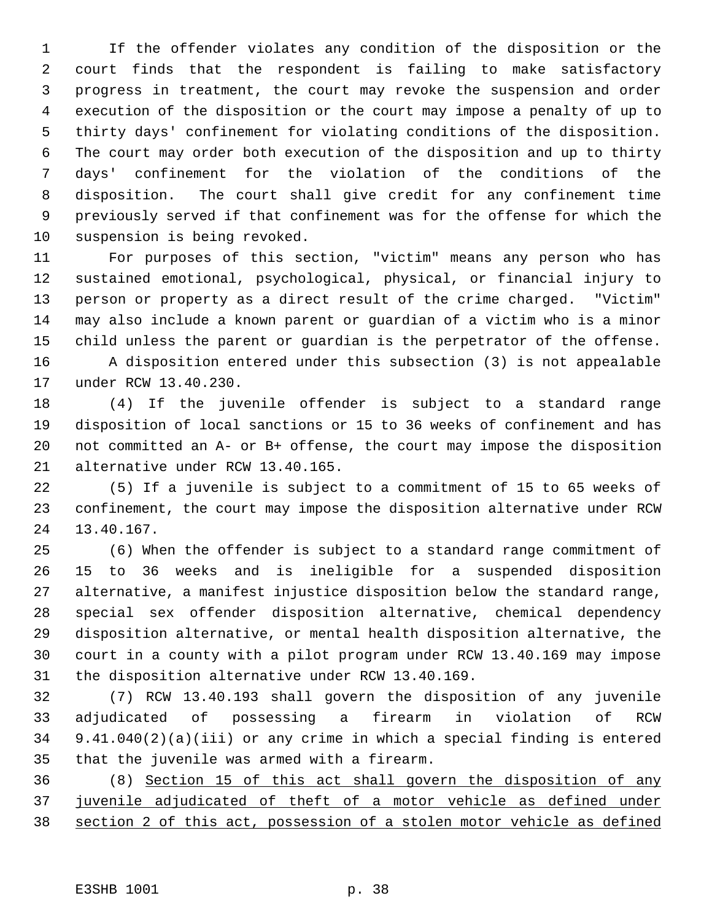If the offender violates any condition of the disposition or the court finds that the respondent is failing to make satisfactory progress in treatment, the court may revoke the suspension and order execution of the disposition or the court may impose a penalty of up to thirty days' confinement for violating conditions of the disposition. The court may order both execution of the disposition and up to thirty days' confinement for the violation of the conditions of the disposition. The court shall give credit for any confinement time previously served if that confinement was for the offense for which the suspension is being revoked.

 For purposes of this section, "victim" means any person who has sustained emotional, psychological, physical, or financial injury to person or property as a direct result of the crime charged. "Victim" may also include a known parent or guardian of a victim who is a minor child unless the parent or guardian is the perpetrator of the offense. A disposition entered under this subsection (3) is not appealable under RCW 13.40.230.

 (4) If the juvenile offender is subject to a standard range disposition of local sanctions or 15 to 36 weeks of confinement and has not committed an A- or B+ offense, the court may impose the disposition alternative under RCW 13.40.165.

 (5) If a juvenile is subject to a commitment of 15 to 65 weeks of confinement, the court may impose the disposition alternative under RCW 13.40.167.

 (6) When the offender is subject to a standard range commitment of 15 to 36 weeks and is ineligible for a suspended disposition alternative, a manifest injustice disposition below the standard range, special sex offender disposition alternative, chemical dependency disposition alternative, or mental health disposition alternative, the court in a county with a pilot program under RCW 13.40.169 may impose the disposition alternative under RCW 13.40.169.

 (7) RCW 13.40.193 shall govern the disposition of any juvenile adjudicated of possessing a firearm in violation of RCW 9.41.040(2)(a)(iii) or any crime in which a special finding is entered that the juvenile was armed with a firearm.

 (8) Section 15 of this act shall govern the disposition of any juvenile adjudicated of theft of a motor vehicle as defined under section 2 of this act, possession of a stolen motor vehicle as defined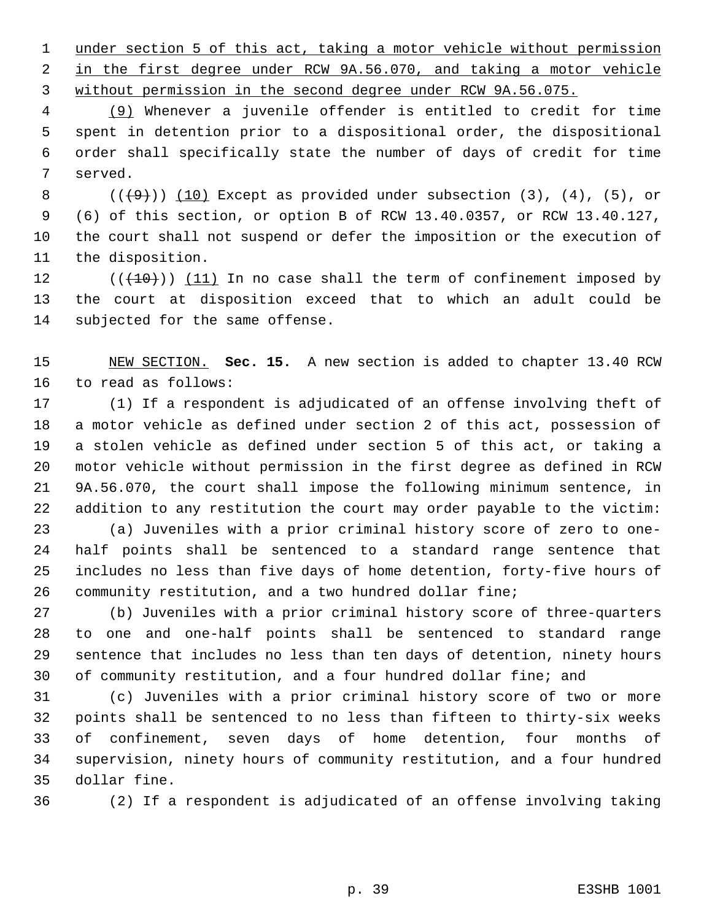under section 5 of this act, taking a motor vehicle without permission in the first degree under RCW 9A.56.070, and taking a motor vehicle without permission in the second degree under RCW 9A.56.075.

 (9) Whenever a juvenile offender is entitled to credit for time spent in detention prior to a dispositional order, the dispositional order shall specifically state the number of days of credit for time served.

 $((+9))$   $(10)$  Except as provided under subsection  $(3)$ ,  $(4)$ ,  $(5)$ , or (6) of this section, or option B of RCW 13.40.0357, or RCW 13.40.127, the court shall not suspend or defer the imposition or the execution of the disposition.

 $((+10))$   $(11)$  In no case shall the term of confinement imposed by the court at disposition exceed that to which an adult could be subjected for the same offense.

 NEW SECTION. **Sec. 15.** A new section is added to chapter 13.40 RCW to read as follows:

 (1) If a respondent is adjudicated of an offense involving theft of a motor vehicle as defined under section 2 of this act, possession of a stolen vehicle as defined under section 5 of this act, or taking a motor vehicle without permission in the first degree as defined in RCW 9A.56.070, the court shall impose the following minimum sentence, in addition to any restitution the court may order payable to the victim:

 (a) Juveniles with a prior criminal history score of zero to one- half points shall be sentenced to a standard range sentence that includes no less than five days of home detention, forty-five hours of community restitution, and a two hundred dollar fine;

 (b) Juveniles with a prior criminal history score of three-quarters to one and one-half points shall be sentenced to standard range sentence that includes no less than ten days of detention, ninety hours of community restitution, and a four hundred dollar fine; and

 (c) Juveniles with a prior criminal history score of two or more points shall be sentenced to no less than fifteen to thirty-six weeks of confinement, seven days of home detention, four months of supervision, ninety hours of community restitution, and a four hundred dollar fine.

(2) If a respondent is adjudicated of an offense involving taking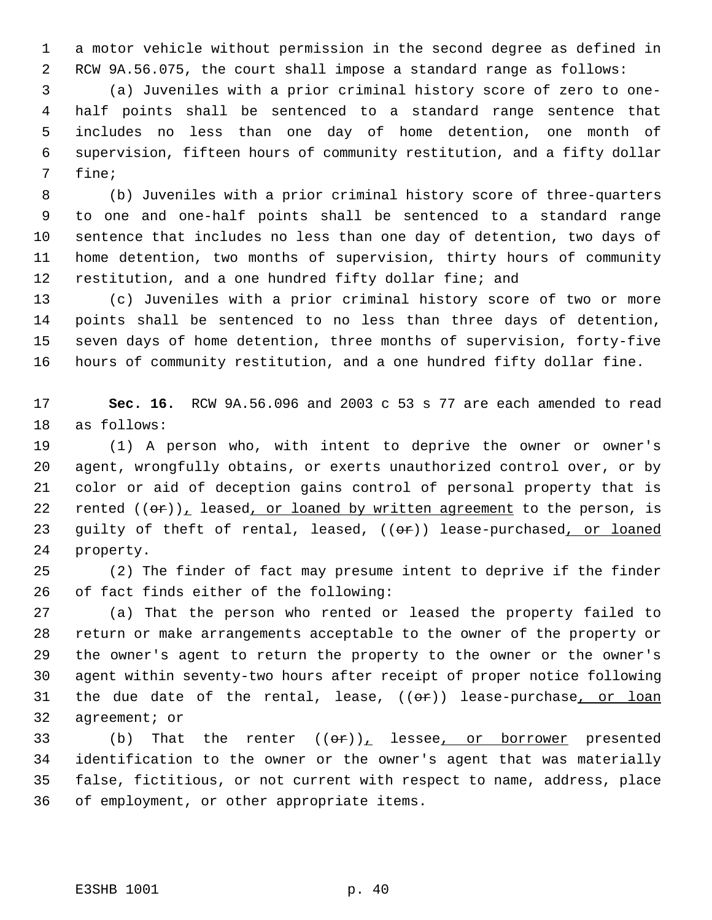a motor vehicle without permission in the second degree as defined in RCW 9A.56.075, the court shall impose a standard range as follows:

 (a) Juveniles with a prior criminal history score of zero to one- half points shall be sentenced to a standard range sentence that includes no less than one day of home detention, one month of supervision, fifteen hours of community restitution, and a fifty dollar fine;

 (b) Juveniles with a prior criminal history score of three-quarters to one and one-half points shall be sentenced to a standard range sentence that includes no less than one day of detention, two days of home detention, two months of supervision, thirty hours of community restitution, and a one hundred fifty dollar fine; and

 (c) Juveniles with a prior criminal history score of two or more points shall be sentenced to no less than three days of detention, seven days of home detention, three months of supervision, forty-five hours of community restitution, and a one hundred fifty dollar fine.

 **Sec. 16.** RCW 9A.56.096 and 2003 c 53 s 77 are each amended to read as follows:

 (1) A person who, with intent to deprive the owner or owner's agent, wrongfully obtains, or exerts unauthorized control over, or by color or aid of deception gains control of personal property that is 22 rented  $((\theta \cdot r)_+$  leased, or loaned by written agreement to the person, is 23 guilty of theft of rental, leased, ((or)) lease-purchased, or loaned property.

 (2) The finder of fact may presume intent to deprive if the finder of fact finds either of the following:

 (a) That the person who rented or leased the property failed to return or make arrangements acceptable to the owner of the property or the owner's agent to return the property to the owner or the owner's agent within seventy-two hours after receipt of proper notice following 31 the due date of the rental, lease,  $((e<sub>r</sub>))$  lease-purchase, or loan agreement; or

33 (b) That the renter  $((\Theta \hat{r}))_L$  lessee, or borrower presented identification to the owner or the owner's agent that was materially false, fictitious, or not current with respect to name, address, place of employment, or other appropriate items.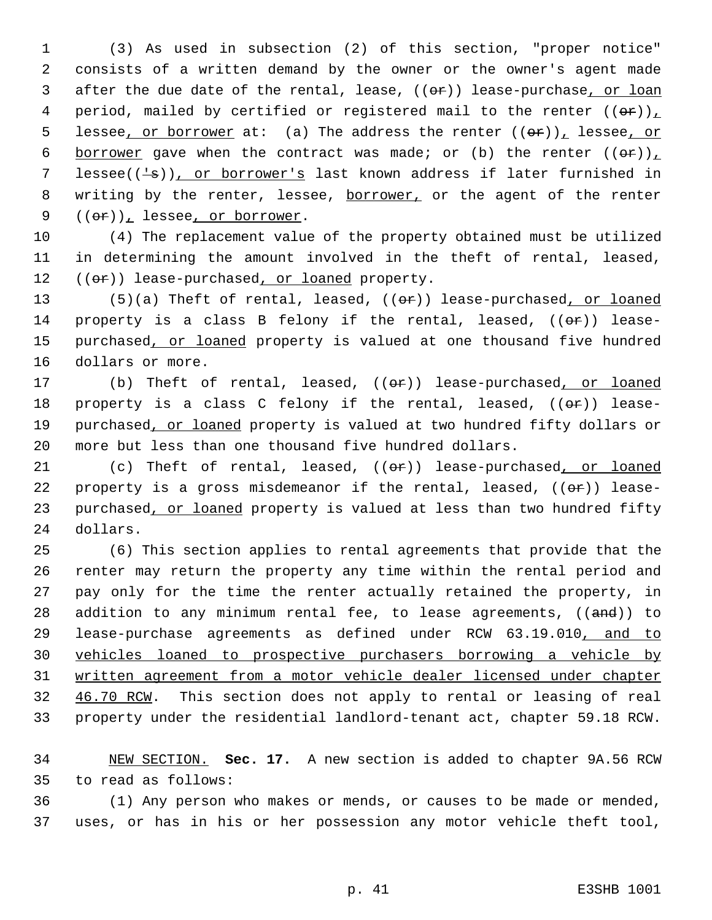1 (3) As used in subsection (2) of this section, "proper notice" 2 consists of a written demand by the owner or the owner's agent made 3 after the due date of the rental, lease, ((or)) lease-purchase, or loan 4 period, mailed by certified or registered mail to the renter  $((\theta \cdot \mathbf{r}))_L$ 5 lessee, or borrower at: (a) The address the renter  $((\theta \hat{r}))_L$  lessee, or 6 borrower gave when the contract was made; or (b) the renter  $((\theta \cdot \mathbf{r}))_L$ 7 lessee( $(\frac{1}{5})$ ), or borrower's last known address if later furnished in 8 writing by the renter, lessee, borrower, or the agent of the renter 9  $((or))_1$  lessee, or borrower.

10 (4) The replacement value of the property obtained must be utilized 11 in determining the amount involved in the theft of rental, leased, 12 ((or)) lease-purchased, or loaned property.

13 (5)(a) Theft of rental, leased, ((or)) lease-purchased, or loaned 14 property is a class B felony if the rental, leased,  $((\theta \cdot \hat{r}))$  lease-15 purchased, or loaned property is valued at one thousand five hundred 16 dollars or more.

17 (b) Theft of rental, leased, ((or)) lease-purchased, or loaned 18 property is a class C felony if the rental, leased,  $((\theta \cdot \hat{r}))$  lease-19 purchased, or loaned property is valued at two hundred fifty dollars or 20 more but less than one thousand five hundred dollars.

21 (c) Theft of rental, leased, ((or)) lease-purchased, or loaned 22 property is a gross misdemeanor if the rental, leased,  $((\theta \cdot \mathbf{r}))$  lease-23 purchased, or loaned property is valued at less than two hundred fifty 24 dollars.

 (6) This section applies to rental agreements that provide that the renter may return the property any time within the rental period and pay only for the time the renter actually retained the property, in 28 addition to any minimum rental fee, to lease agreements, ((and)) to lease-purchase agreements as defined under RCW 63.19.010, and to vehicles loaned to prospective purchasers borrowing a vehicle by written agreement from a motor vehicle dealer licensed under chapter 32 46.70 RCW. This section does not apply to rental or leasing of real property under the residential landlord-tenant act, chapter 59.18 RCW.

34 NEW SECTION. **Sec. 17.** A new section is added to chapter 9A.56 RCW 35 to read as follows:

36 (1) Any person who makes or mends, or causes to be made or mended, 37 uses, or has in his or her possession any motor vehicle theft tool,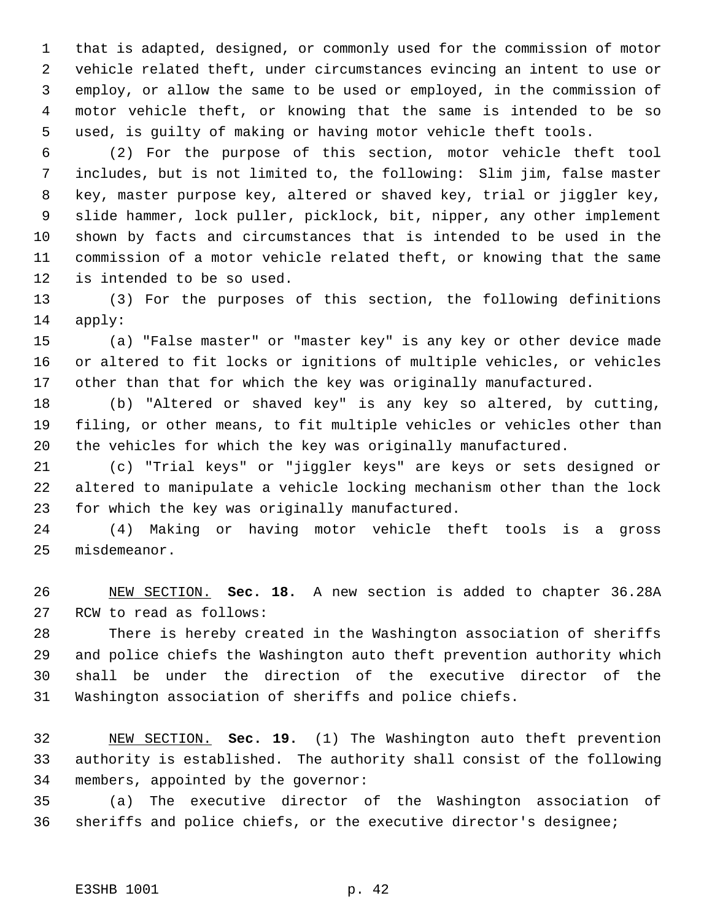that is adapted, designed, or commonly used for the commission of motor vehicle related theft, under circumstances evincing an intent to use or employ, or allow the same to be used or employed, in the commission of motor vehicle theft, or knowing that the same is intended to be so used, is guilty of making or having motor vehicle theft tools.

 (2) For the purpose of this section, motor vehicle theft tool includes, but is not limited to, the following: Slim jim, false master key, master purpose key, altered or shaved key, trial or jiggler key, slide hammer, lock puller, picklock, bit, nipper, any other implement shown by facts and circumstances that is intended to be used in the commission of a motor vehicle related theft, or knowing that the same is intended to be so used.

 (3) For the purposes of this section, the following definitions apply:

 (a) "False master" or "master key" is any key or other device made or altered to fit locks or ignitions of multiple vehicles, or vehicles other than that for which the key was originally manufactured.

 (b) "Altered or shaved key" is any key so altered, by cutting, filing, or other means, to fit multiple vehicles or vehicles other than the vehicles for which the key was originally manufactured.

 (c) "Trial keys" or "jiggler keys" are keys or sets designed or altered to manipulate a vehicle locking mechanism other than the lock for which the key was originally manufactured.

 (4) Making or having motor vehicle theft tools is a gross misdemeanor.

 NEW SECTION. **Sec. 18.** A new section is added to chapter 36.28A RCW to read as follows:

 There is hereby created in the Washington association of sheriffs and police chiefs the Washington auto theft prevention authority which shall be under the direction of the executive director of the Washington association of sheriffs and police chiefs.

 NEW SECTION. **Sec. 19.** (1) The Washington auto theft prevention authority is established. The authority shall consist of the following members, appointed by the governor:

 (a) The executive director of the Washington association of sheriffs and police chiefs, or the executive director's designee;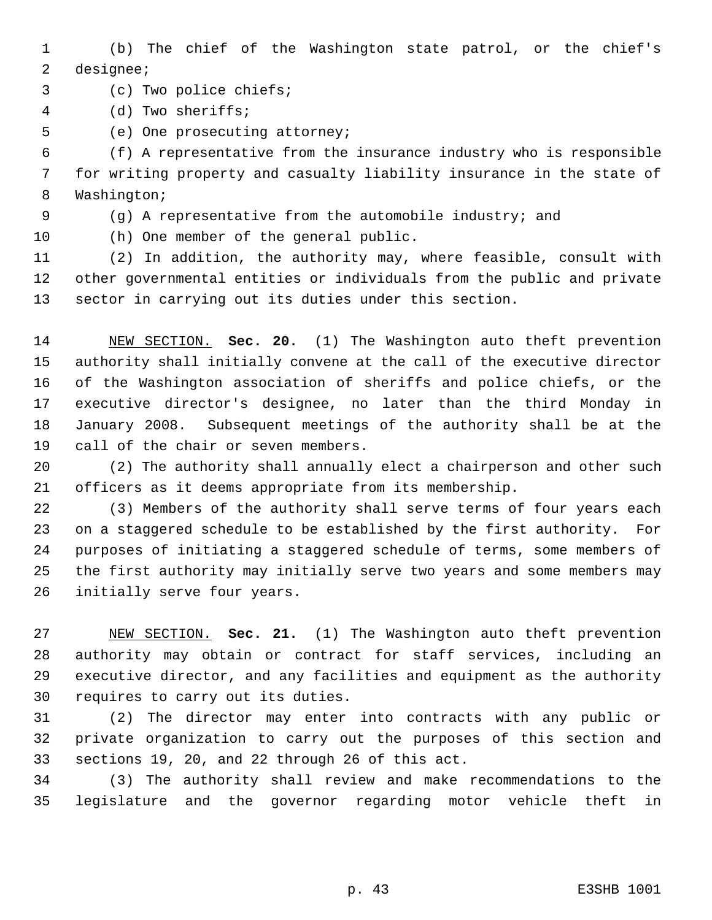(b) The chief of the Washington state patrol, or the chief's designee;

(c) Two police chiefs;

- (d) Two sheriffs;
- (e) One prosecuting attorney;

 (f) A representative from the insurance industry who is responsible for writing property and casualty liability insurance in the state of Washington;

- (g) A representative from the automobile industry; and
- 

(h) One member of the general public.

 (2) In addition, the authority may, where feasible, consult with other governmental entities or individuals from the public and private sector in carrying out its duties under this section.

 NEW SECTION. **Sec. 20.** (1) The Washington auto theft prevention authority shall initially convene at the call of the executive director of the Washington association of sheriffs and police chiefs, or the executive director's designee, no later than the third Monday in January 2008. Subsequent meetings of the authority shall be at the call of the chair or seven members.

 (2) The authority shall annually elect a chairperson and other such officers as it deems appropriate from its membership.

 (3) Members of the authority shall serve terms of four years each on a staggered schedule to be established by the first authority. For purposes of initiating a staggered schedule of terms, some members of the first authority may initially serve two years and some members may initially serve four years.

 NEW SECTION. **Sec. 21.** (1) The Washington auto theft prevention authority may obtain or contract for staff services, including an executive director, and any facilities and equipment as the authority requires to carry out its duties.

 (2) The director may enter into contracts with any public or private organization to carry out the purposes of this section and sections 19, 20, and 22 through 26 of this act.

 (3) The authority shall review and make recommendations to the legislature and the governor regarding motor vehicle theft in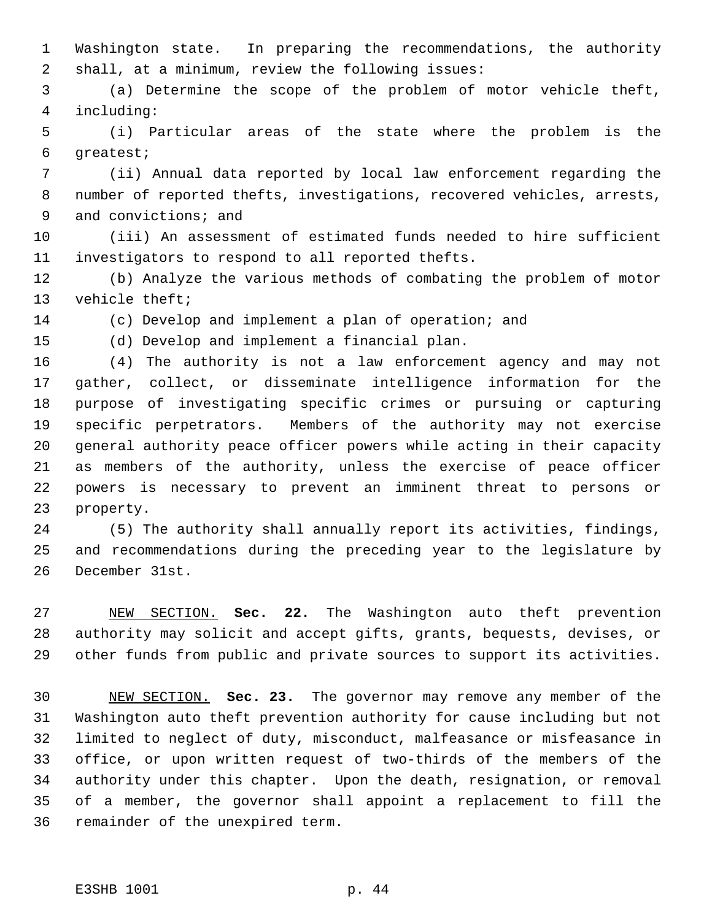Washington state. In preparing the recommendations, the authority shall, at a minimum, review the following issues:

 (a) Determine the scope of the problem of motor vehicle theft, including:

 (i) Particular areas of the state where the problem is the greatest;

 (ii) Annual data reported by local law enforcement regarding the number of reported thefts, investigations, recovered vehicles, arrests, 9 and convictions; and

 (iii) An assessment of estimated funds needed to hire sufficient investigators to respond to all reported thefts.

 (b) Analyze the various methods of combating the problem of motor vehicle theft;

(c) Develop and implement a plan of operation; and

(d) Develop and implement a financial plan.

 (4) The authority is not a law enforcement agency and may not gather, collect, or disseminate intelligence information for the purpose of investigating specific crimes or pursuing or capturing specific perpetrators. Members of the authority may not exercise general authority peace officer powers while acting in their capacity as members of the authority, unless the exercise of peace officer

 powers is necessary to prevent an imminent threat to persons or property.

 (5) The authority shall annually report its activities, findings, and recommendations during the preceding year to the legislature by December 31st.

 NEW SECTION. **Sec. 22.** The Washington auto theft prevention authority may solicit and accept gifts, grants, bequests, devises, or other funds from public and private sources to support its activities.

 NEW SECTION. **Sec. 23.** The governor may remove any member of the Washington auto theft prevention authority for cause including but not limited to neglect of duty, misconduct, malfeasance or misfeasance in office, or upon written request of two-thirds of the members of the authority under this chapter. Upon the death, resignation, or removal of a member, the governor shall appoint a replacement to fill the remainder of the unexpired term.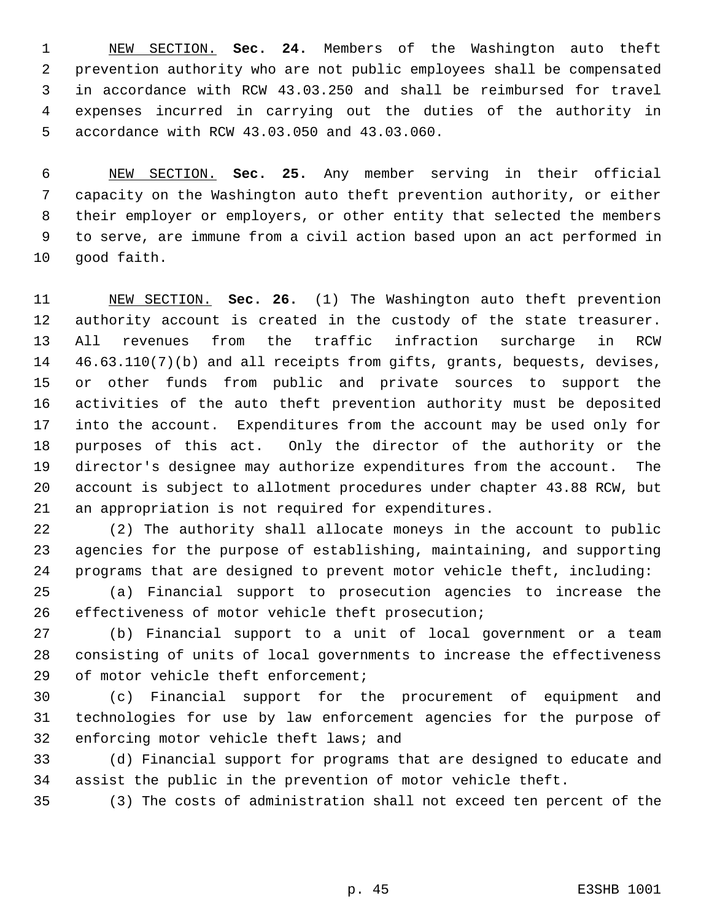NEW SECTION. **Sec. 24.** Members of the Washington auto theft prevention authority who are not public employees shall be compensated in accordance with RCW 43.03.250 and shall be reimbursed for travel expenses incurred in carrying out the duties of the authority in accordance with RCW 43.03.050 and 43.03.060.

 NEW SECTION. **Sec. 25.** Any member serving in their official capacity on the Washington auto theft prevention authority, or either their employer or employers, or other entity that selected the members to serve, are immune from a civil action based upon an act performed in good faith.

 NEW SECTION. **Sec. 26.** (1) The Washington auto theft prevention authority account is created in the custody of the state treasurer. All revenues from the traffic infraction surcharge in RCW 46.63.110(7)(b) and all receipts from gifts, grants, bequests, devises, or other funds from public and private sources to support the activities of the auto theft prevention authority must be deposited into the account. Expenditures from the account may be used only for purposes of this act. Only the director of the authority or the director's designee may authorize expenditures from the account. The account is subject to allotment procedures under chapter 43.88 RCW, but an appropriation is not required for expenditures.

 (2) The authority shall allocate moneys in the account to public agencies for the purpose of establishing, maintaining, and supporting programs that are designed to prevent motor vehicle theft, including:

 (a) Financial support to prosecution agencies to increase the effectiveness of motor vehicle theft prosecution;

 (b) Financial support to a unit of local government or a team consisting of units of local governments to increase the effectiveness of motor vehicle theft enforcement;

 (c) Financial support for the procurement of equipment and technologies for use by law enforcement agencies for the purpose of enforcing motor vehicle theft laws; and

 (d) Financial support for programs that are designed to educate and assist the public in the prevention of motor vehicle theft.

(3) The costs of administration shall not exceed ten percent of the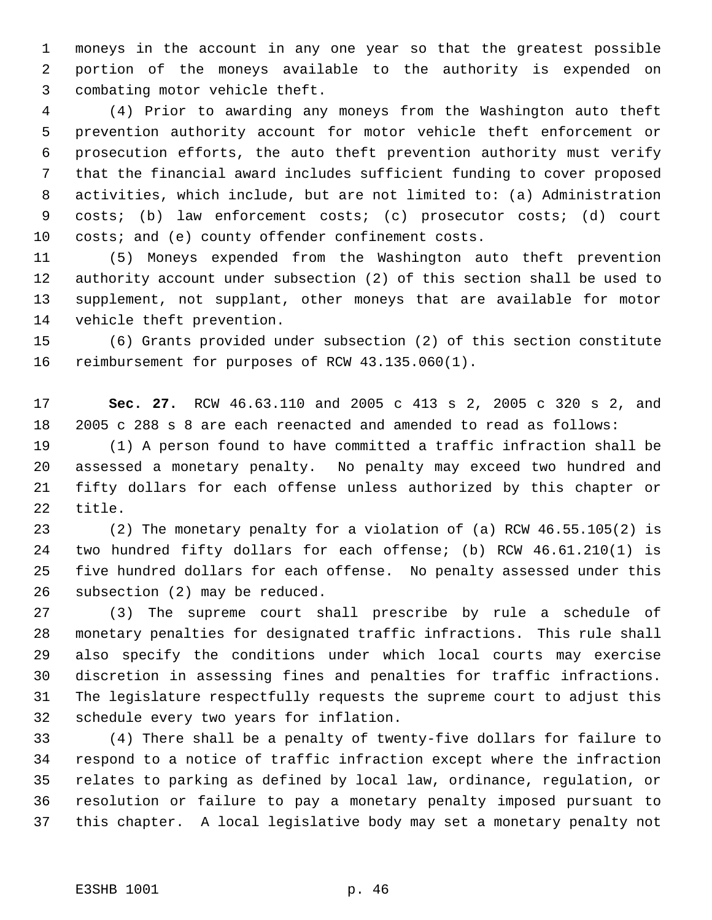moneys in the account in any one year so that the greatest possible portion of the moneys available to the authority is expended on combating motor vehicle theft.

 (4) Prior to awarding any moneys from the Washington auto theft prevention authority account for motor vehicle theft enforcement or prosecution efforts, the auto theft prevention authority must verify that the financial award includes sufficient funding to cover proposed activities, which include, but are not limited to: (a) Administration costs; (b) law enforcement costs; (c) prosecutor costs; (d) court costs; and (e) county offender confinement costs.

 (5) Moneys expended from the Washington auto theft prevention authority account under subsection (2) of this section shall be used to supplement, not supplant, other moneys that are available for motor vehicle theft prevention.

 (6) Grants provided under subsection (2) of this section constitute reimbursement for purposes of RCW 43.135.060(1).

 **Sec. 27.** RCW 46.63.110 and 2005 c 413 s 2, 2005 c 320 s 2, and 2005 c 288 s 8 are each reenacted and amended to read as follows:

 (1) A person found to have committed a traffic infraction shall be assessed a monetary penalty. No penalty may exceed two hundred and fifty dollars for each offense unless authorized by this chapter or title.

 (2) The monetary penalty for a violation of (a) RCW 46.55.105(2) is two hundred fifty dollars for each offense; (b) RCW 46.61.210(1) is five hundred dollars for each offense. No penalty assessed under this subsection (2) may be reduced.

 (3) The supreme court shall prescribe by rule a schedule of monetary penalties for designated traffic infractions. This rule shall also specify the conditions under which local courts may exercise discretion in assessing fines and penalties for traffic infractions. The legislature respectfully requests the supreme court to adjust this schedule every two years for inflation.

 (4) There shall be a penalty of twenty-five dollars for failure to respond to a notice of traffic infraction except where the infraction relates to parking as defined by local law, ordinance, regulation, or resolution or failure to pay a monetary penalty imposed pursuant to this chapter. A local legislative body may set a monetary penalty not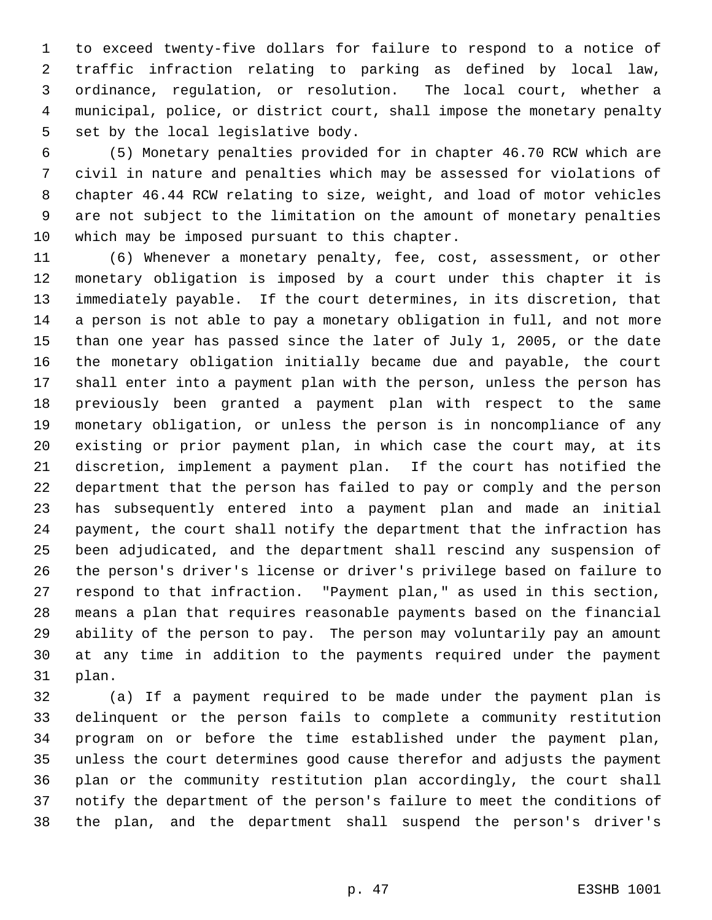to exceed twenty-five dollars for failure to respond to a notice of traffic infraction relating to parking as defined by local law, ordinance, regulation, or resolution. The local court, whether a municipal, police, or district court, shall impose the monetary penalty set by the local legislative body.

 (5) Monetary penalties provided for in chapter 46.70 RCW which are civil in nature and penalties which may be assessed for violations of chapter 46.44 RCW relating to size, weight, and load of motor vehicles are not subject to the limitation on the amount of monetary penalties which may be imposed pursuant to this chapter.

 (6) Whenever a monetary penalty, fee, cost, assessment, or other monetary obligation is imposed by a court under this chapter it is immediately payable. If the court determines, in its discretion, that a person is not able to pay a monetary obligation in full, and not more than one year has passed since the later of July 1, 2005, or the date the monetary obligation initially became due and payable, the court shall enter into a payment plan with the person, unless the person has previously been granted a payment plan with respect to the same monetary obligation, or unless the person is in noncompliance of any existing or prior payment plan, in which case the court may, at its discretion, implement a payment plan. If the court has notified the department that the person has failed to pay or comply and the person has subsequently entered into a payment plan and made an initial payment, the court shall notify the department that the infraction has been adjudicated, and the department shall rescind any suspension of the person's driver's license or driver's privilege based on failure to respond to that infraction. "Payment plan," as used in this section, means a plan that requires reasonable payments based on the financial ability of the person to pay. The person may voluntarily pay an amount at any time in addition to the payments required under the payment plan.

 (a) If a payment required to be made under the payment plan is delinquent or the person fails to complete a community restitution program on or before the time established under the payment plan, unless the court determines good cause therefor and adjusts the payment plan or the community restitution plan accordingly, the court shall notify the department of the person's failure to meet the conditions of the plan, and the department shall suspend the person's driver's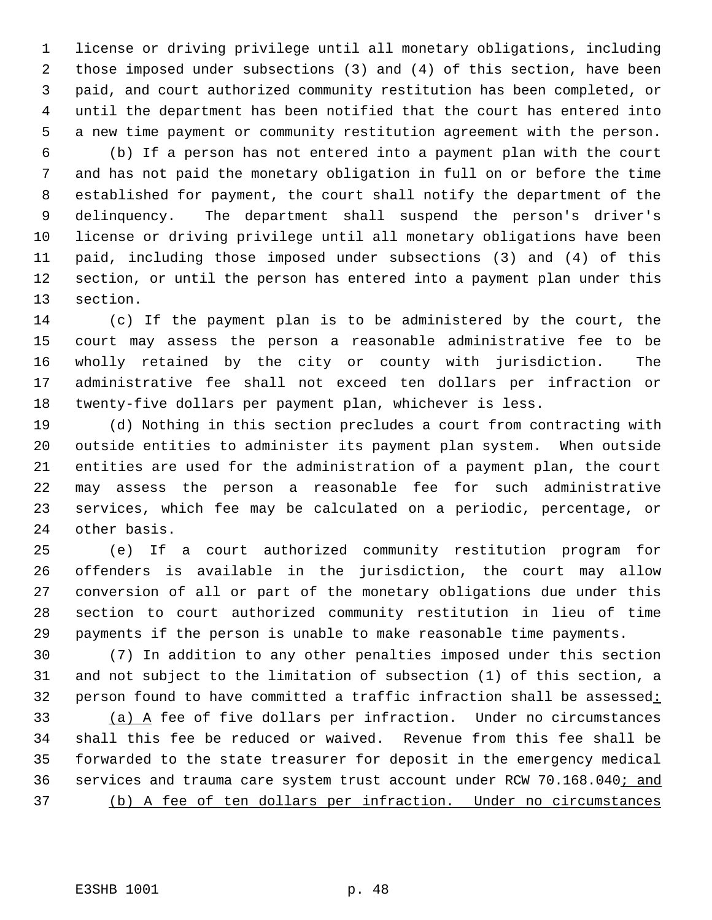license or driving privilege until all monetary obligations, including those imposed under subsections (3) and (4) of this section, have been paid, and court authorized community restitution has been completed, or until the department has been notified that the court has entered into a new time payment or community restitution agreement with the person.

 (b) If a person has not entered into a payment plan with the court and has not paid the monetary obligation in full on or before the time established for payment, the court shall notify the department of the delinquency. The department shall suspend the person's driver's license or driving privilege until all monetary obligations have been paid, including those imposed under subsections (3) and (4) of this section, or until the person has entered into a payment plan under this section.

 (c) If the payment plan is to be administered by the court, the court may assess the person a reasonable administrative fee to be wholly retained by the city or county with jurisdiction. The administrative fee shall not exceed ten dollars per infraction or twenty-five dollars per payment plan, whichever is less.

 (d) Nothing in this section precludes a court from contracting with outside entities to administer its payment plan system. When outside entities are used for the administration of a payment plan, the court may assess the person a reasonable fee for such administrative services, which fee may be calculated on a periodic, percentage, or other basis.

 (e) If a court authorized community restitution program for offenders is available in the jurisdiction, the court may allow conversion of all or part of the monetary obligations due under this section to court authorized community restitution in lieu of time payments if the person is unable to make reasonable time payments.

 (7) In addition to any other penalties imposed under this section and not subject to the limitation of subsection (1) of this section, a 32 person found to have committed a traffic infraction shall be assessed:

 (a) A fee of five dollars per infraction. Under no circumstances shall this fee be reduced or waived. Revenue from this fee shall be forwarded to the state treasurer for deposit in the emergency medical 36 services and trauma care system trust account under RCW 70.168.040; and (b) A fee of ten dollars per infraction. Under no circumstances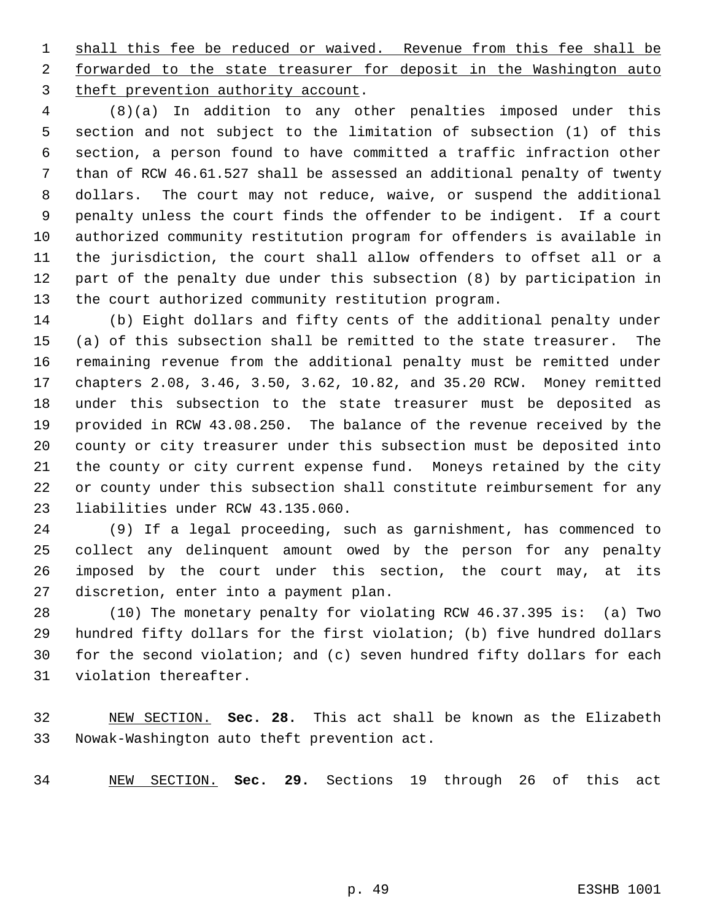1 shall this fee be reduced or waived. Revenue from this fee shall be 2 forwarded to the state treasurer for deposit in the Washington auto theft prevention authority account.

 (8)(a) In addition to any other penalties imposed under this section and not subject to the limitation of subsection (1) of this section, a person found to have committed a traffic infraction other than of RCW 46.61.527 shall be assessed an additional penalty of twenty dollars. The court may not reduce, waive, or suspend the additional penalty unless the court finds the offender to be indigent. If a court authorized community restitution program for offenders is available in the jurisdiction, the court shall allow offenders to offset all or a part of the penalty due under this subsection (8) by participation in the court authorized community restitution program.

 (b) Eight dollars and fifty cents of the additional penalty under (a) of this subsection shall be remitted to the state treasurer. The remaining revenue from the additional penalty must be remitted under chapters 2.08, 3.46, 3.50, 3.62, 10.82, and 35.20 RCW. Money remitted under this subsection to the state treasurer must be deposited as provided in RCW 43.08.250. The balance of the revenue received by the county or city treasurer under this subsection must be deposited into the county or city current expense fund. Moneys retained by the city or county under this subsection shall constitute reimbursement for any liabilities under RCW 43.135.060.

 (9) If a legal proceeding, such as garnishment, has commenced to collect any delinquent amount owed by the person for any penalty imposed by the court under this section, the court may, at its discretion, enter into a payment plan.

 (10) The monetary penalty for violating RCW 46.37.395 is: (a) Two hundred fifty dollars for the first violation; (b) five hundred dollars for the second violation; and (c) seven hundred fifty dollars for each violation thereafter.

 NEW SECTION. **Sec. 28.** This act shall be known as the Elizabeth Nowak-Washington auto theft prevention act.

NEW SECTION. **Sec. 29.** Sections 19 through 26 of this act